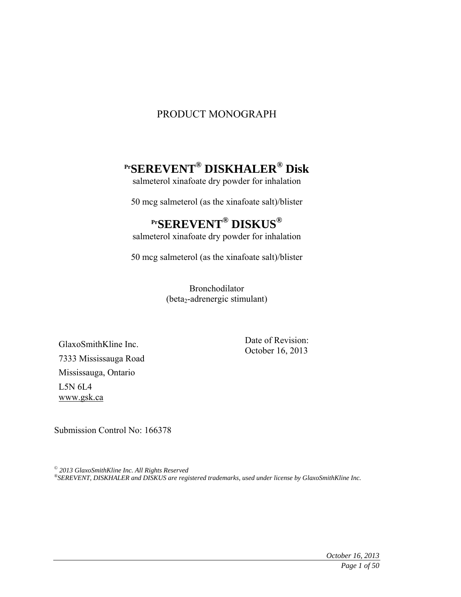# PRODUCT MONOGRAPH

# **PrSEREVENT® DISKHALER® Disk**

salmeterol xinafoate dry powder for inhalation

50 mcg salmeterol (as the xinafoate salt)/blister

# **PrSEREVENT® DISKUS®**

salmeterol xinafoate dry powder for inhalation

50 mcg salmeterol (as the xinafoate salt)/blister

Bronchodilator (beta<sub>2</sub>-adrenergic stimulant)

GlaxoSmithKline Inc. 7333 Mississauga Road Mississauga, Ontario L5N 6L4 www.gsk.ca

Date of Revision: October 16, 2013

Submission Control No: 166378

*© 2013 GlaxoSmithKline Inc. All Rights Reserved ®SEREVENT, DISKHALER and DISKUS are registered trademarks, used under license by GlaxoSmithKline Inc.*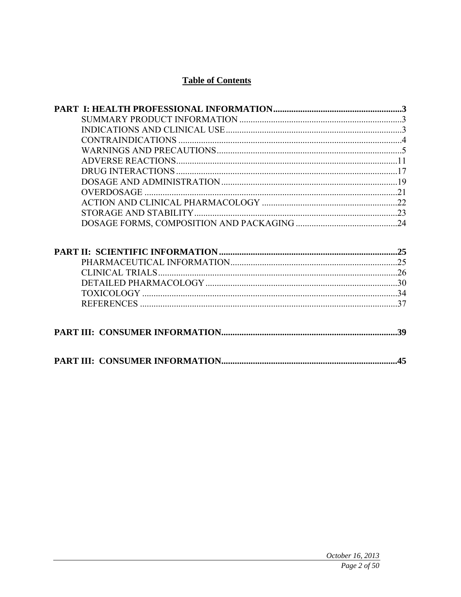# **Table of Contents**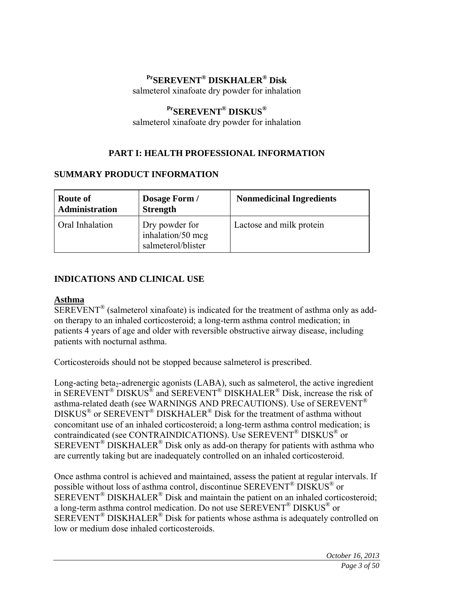# **PrSEREVENT® DISKHALER® Disk**

salmeterol xinafoate dry powder for inhalation

# **PrSEREVENT® DISKUS®**

salmeterol xinafoate dry powder for inhalation

# **PART I: HEALTH PROFESSIONAL INFORMATION**

### **SUMMARY PRODUCT INFORMATION**

| <b>Route of</b><br><b>Administration</b> | Dosage Form /<br><b>Strength</b>                          | <b>Nonmedicinal Ingredients</b> |
|------------------------------------------|-----------------------------------------------------------|---------------------------------|
| Oral Inhalation                          | Dry powder for<br>inhalation/50 mcg<br>salmeterol/blister | Lactose and milk protein        |

### **INDICATIONS AND CLINICAL USE**

### **Asthma**

SEREVENT® (salmeterol xinafoate) is indicated for the treatment of asthma only as addon therapy to an inhaled corticosteroid; a long-term asthma control medication; in patients 4 years of age and older with reversible obstructive airway disease, including patients with nocturnal asthma.

Corticosteroids should not be stopped because salmeterol is prescribed.

Long-acting beta<sub>2</sub>-adrenergic agonists (LABA), such as salmeterol, the active ingredient in SEREVENT® DISKUS® and SEREVENT® DISKHALER® Disk, increase the risk of asthma-related death (see WARNINGS AND PRECAUTIONS). Use of SEREVENT® DISKUS® or SEREVENT® DISKHALER® Disk for the treatment of asthma without concomitant use of an inhaled corticosteroid; a long-term asthma control medication; is contraindicated (see CONTRAINDICATIONS). Use SEREVENT® DISKUS® or  $SEREVENT^®$  DISKHALER<sup>®</sup> Disk only as add-on therapy for patients with asthma who are currently taking but are inadequately controlled on an inhaled corticosteroid.

Once asthma control is achieved and maintained, assess the patient at regular intervals. If possible without loss of asthma control, discontinue SEREVENT® DISKUS® or  $SEREVENT^{\circledR}$  DISKHALER<sup>®</sup> Disk and maintain the patient on an inhaled corticosteroid; a long-term asthma control medication. Do not use SEREVENT® DISKUS® or SEREVENT® DISKHALER® Disk for patients whose asthma is adequately controlled on low or medium dose inhaled corticosteroids.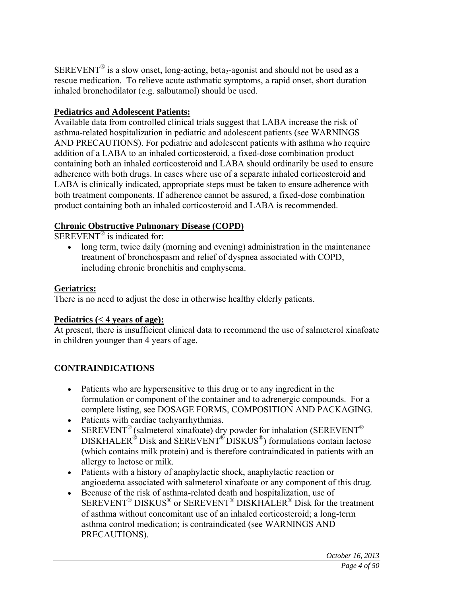SEREVENT<sup>®</sup> is a slow onset, long-acting, beta<sub>2</sub>-agonist and should not be used as a rescue medication. To relieve acute asthmatic symptoms, a rapid onset, short duration inhaled bronchodilator (e.g. salbutamol) should be used.

### **Pediatrics and Adolescent Patients:**

Available data from controlled clinical trials suggest that LABA increase the risk of asthma-related hospitalization in pediatric and adolescent patients (see WARNINGS AND PRECAUTIONS). For pediatric and adolescent patients with asthma who require addition of a LABA to an inhaled corticosteroid, a fixed-dose combination product containing both an inhaled corticosteroid and LABA should ordinarily be used to ensure adherence with both drugs. In cases where use of a separate inhaled corticosteroid and LABA is clinically indicated, appropriate steps must be taken to ensure adherence with both treatment components. If adherence cannot be assured, a fixed-dose combination product containing both an inhaled corticosteroid and LABA is recommended.

# **Chronic Obstructive Pulmonary Disease (COPD)**

 $SEREVENT^{\circledR}$  is indicated for:

 long term, twice daily (morning and evening) administration in the maintenance treatment of bronchospasm and relief of dyspnea associated with COPD, including chronic bronchitis and emphysema.

### **Geriatrics:**

There is no need to adjust the dose in otherwise healthy elderly patients.

### **Pediatrics (< 4 years of age):**

At present, there is insufficient clinical data to recommend the use of salmeterol xinafoate in children younger than 4 years of age.

### **CONTRAINDICATIONS**

- Patients who are hypersensitive to this drug or to any ingredient in the formulation or component of the container and to adrenergic compounds. For a complete listing, see DOSAGE FORMS, COMPOSITION AND PACKAGING.
- Patients with cardiac tachyarrhythmias.
- SEREVENT<sup>®</sup> (salmeterol xinafoate) dry powder for inhalation (SEREVENT<sup>®</sup>  $DISKHALER^{\hat{\otimes}}$  Disk and  $SEREVENT^{\hat{\otimes}}$  DISKUS<sup>®</sup>) formulations contain lactose (which contains milk protein) and is therefore contraindicated in patients with an allergy to lactose or milk.
- Patients with a history of anaphylactic shock, anaphylactic reaction or angioedema associated with salmeterol xinafoate or any component of this drug.
- Because of the risk of asthma-related death and hospitalization, use of  $SEREVENT^{\circledR}$  DISKUS<sup>®</sup> or  $SEREVENT^{\circledR}$  DISKHALER<sup>®</sup> Disk for the treatment of asthma without concomitant use of an inhaled corticosteroid; a long-term asthma control medication; is contraindicated (see WARNINGS AND PRECAUTIONS).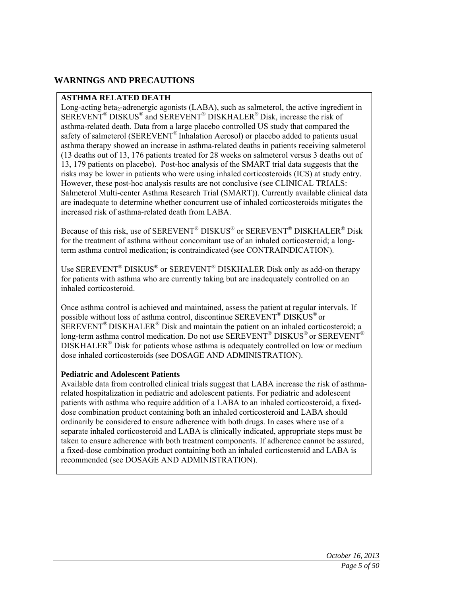### **WARNINGS AND PRECAUTIONS**

#### **ASTHMA RELATED DEATH**

Long-acting beta<sub>2</sub>-adrenergic agonists (LABA), such as salmeterol, the active ingredient in SEREVENT® DISKUS® and SEREVENT® DISKHALER® Disk, increase the risk of asthma-related death. Data from a large placebo controlled US study that compared the safety of salmeterol (SEREVENT<sup>®</sup> Inhalation Aerosol) or placebo added to patients usual asthma therapy showed an increase in asthma-related deaths in patients receiving salmeterol (13 deaths out of 13, 176 patients treated for 28 weeks on salmeterol versus 3 deaths out of 13, 179 patients on placebo). Post-hoc analysis of the SMART trial data suggests that the risks may be lower in patients who were using inhaled corticosteroids (ICS) at study entry. However, these post-hoc analysis results are not conclusive (see CLINICAL TRIALS: Salmeterol Multi-center Asthma Research Trial (SMART)). Currently available clinical data are inadequate to determine whether concurrent use of inhaled corticosteroids mitigates the increased risk of asthma-related death from LABA.

Because of this risk, use of SEREVENT® DISKUS® or SEREVENT® DISKHALER® Disk for the treatment of asthma without concomitant use of an inhaled corticosteroid; a longterm asthma control medication; is contraindicated (see CONTRAINDICATION).

Use SEREVENT® DISKUS® or SEREVENT® DISKHALER Disk only as add-on therapy for patients with asthma who are currently taking but are inadequately controlled on an inhaled corticosteroid.

Once asthma control is achieved and maintained, assess the patient at regular intervals. If possible without loss of asthma control, discontinue SEREVENT® DISKUS® or SEREVENT® DISKHALER® Disk and maintain the patient on an inhaled corticosteroid; a long-term asthma control medication. Do not use SEREVENT<sup>®</sup> DISKUS<sup>®</sup> or SEREVENT<sup>®</sup> DISKHALER® Disk for patients whose asthma is adequately controlled on low or medium dose inhaled corticosteroids (see DOSAGE AND ADMINISTRATION).

#### **Pediatric and Adolescent Patients**

Available data from controlled clinical trials suggest that LABA increase the risk of asthmarelated hospitalization in pediatric and adolescent patients. For pediatric and adolescent patients with asthma who require addition of a LABA to an inhaled corticosteroid, a fixeddose combination product containing both an inhaled corticosteroid and LABA should ordinarily be considered to ensure adherence with both drugs. In cases where use of a separate inhaled corticosteroid and LABA is clinically indicated, appropriate steps must be taken to ensure adherence with both treatment components. If adherence cannot be assured, a fixed-dose combination product containing both an inhaled corticosteroid and LABA is recommended (see DOSAGE AND ADMINISTRATION).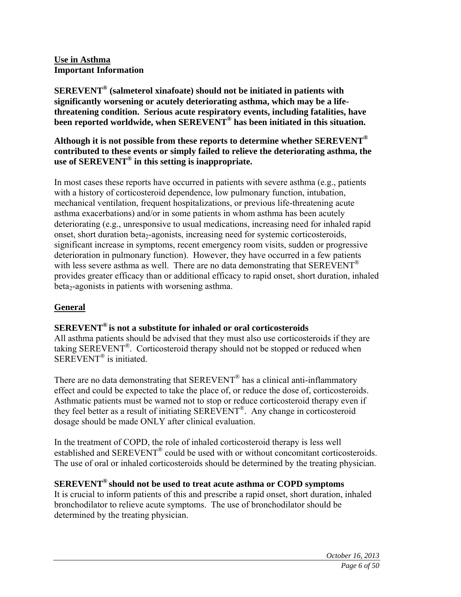#### **Use in Asthma Important Information**

**SEREVENT® (salmeterol xinafoate) should not be initiated in patients with significantly worsening or acutely deteriorating asthma, which may be a lifethreatening condition. Serious acute respiratory events, including fatalities, have been reported worldwide, when SEREVENT® has been initiated in this situation.**

**Although it is not possible from these reports to determine whether SEREVENT® contributed to these events or simply failed to relieve the deteriorating asthma, the use of SEREVENT® in this setting is inappropriate.** 

In most cases these reports have occurred in patients with severe asthma (e.g., patients with a history of corticosteroid dependence, low pulmonary function, intubation, mechanical ventilation, frequent hospitalizations, or previous life-threatening acute asthma exacerbations) and/or in some patients in whom asthma has been acutely deteriorating (e.g., unresponsive to usual medications, increasing need for inhaled rapid onset, short duration beta<sub>2</sub>-agonists, increasing need for systemic corticosteroids, significant increase in symptoms, recent emergency room visits, sudden or progressive deterioration in pulmonary function). However, they have occurred in a few patients with less severe asthma as well. There are no data demonstrating that  $SEREVENT^{\circledR}$ provides greater efficacy than or additional efficacy to rapid onset, short duration, inhaled  $beta_2$ -agonists in patients with worsening asthma.

### **General**

# **SEREVENT® is not a substitute for inhaled or oral corticosteroids**

All asthma patients should be advised that they must also use corticosteroids if they are taking SEREVENT®. Corticosteroid therapy should not be stopped or reduced when SEREVENT<sup>®</sup> is initiated.

There are no data demonstrating that SEREVENT<sup>®</sup> has a clinical anti-inflammatory effect and could be expected to take the place of, or reduce the dose of, corticosteroids. Asthmatic patients must be warned not to stop or reduce corticosteroid therapy even if they feel better as a result of initiating SEREVENT®. Any change in corticosteroid dosage should be made ONLY after clinical evaluation.

In the treatment of COPD, the role of inhaled corticosteroid therapy is less well established and SEREVENT® could be used with or without concomitant corticosteroids. The use of oral or inhaled corticosteroids should be determined by the treating physician.

# **SEREVENT® should not be used to treat acute asthma or COPD symptoms**

It is crucial to inform patients of this and prescribe a rapid onset, short duration, inhaled bronchodilator to relieve acute symptoms. The use of bronchodilator should be determined by the treating physician.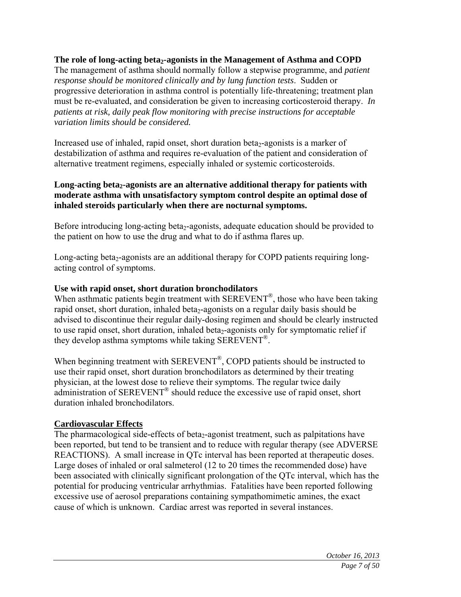### The role of long-acting beta<sub>2</sub>-agonists in the Management of Asthma and COPD

The management of asthma should normally follow a stepwise programme, and *patient response should be monitored clinically and by lung function tests*. Sudden or progressive deterioration in asthma control is potentially life-threatening; treatment plan must be re-evaluated, and consideration be given to increasing corticosteroid therapy. *In patients at risk, daily peak flow monitoring with precise instructions for acceptable variation limits should be considered.* 

Increased use of inhaled, rapid onset, short duration beta<sub>2</sub>-agonists is a marker of destabilization of asthma and requires re-evaluation of the patient and consideration of alternative treatment regimens, especially inhaled or systemic corticosteroids.

### Long-acting beta<sub>2</sub>-agonists are an alternative additional therapy for patients with **moderate asthma with unsatisfactory symptom control despite an optimal dose of inhaled steroids particularly when there are nocturnal symptoms.**

Before introducing long-acting beta<sub>2</sub>-agonists, adequate education should be provided to the patient on how to use the drug and what to do if asthma flares up.

Long-acting beta<sub>2</sub>-agonists are an additional therapy for COPD patients requiring longacting control of symptoms.

### **Use with rapid onset, short duration bronchodilators**

When asthmatic patients begin treatment with SEREVENT<sup>®</sup>, those who have been taking rapid onset, short duration, inhaled beta<sub>2</sub>-agonists on a regular daily basis should be advised to discontinue their regular daily-dosing regimen and should be clearly instructed to use rapid onset, short duration, inhaled beta<sub>2</sub>-agonists only for symptomatic relief if they develop asthma symptoms while taking  $SEREVENT^{\circledR}$ .

When beginning treatment with SEREVENT<sup>®</sup>, COPD patients should be instructed to use their rapid onset, short duration bronchodilators as determined by their treating physician, at the lowest dose to relieve their symptoms. The regular twice daily administration of SEREVENT® should reduce the excessive use of rapid onset, short duration inhaled bronchodilators.

### **Cardiovascular Effects**

The pharmacological side-effects of beta<sub>2</sub>-agonist treatment, such as palpitations have been reported, but tend to be transient and to reduce with regular therapy (see ADVERSE REACTIONS). A small increase in QTc interval has been reported at therapeutic doses. Large doses of inhaled or oral salmeterol (12 to 20 times the recommended dose) have been associated with clinically significant prolongation of the QTc interval, which has the potential for producing ventricular arrhythmias. Fatalities have been reported following excessive use of aerosol preparations containing sympathomimetic amines, the exact cause of which is unknown. Cardiac arrest was reported in several instances.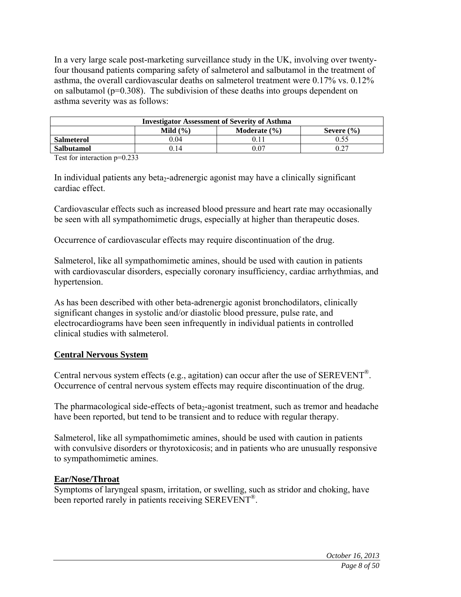In a very large scale post-marketing surveillance study in the UK, involving over twentyfour thousand patients comparing safety of salmeterol and salbutamol in the treatment of asthma, the overall cardiovascular deaths on salmeterol treatment were 0.17% vs. 0.12% on salbutamol ( $p=0.308$ ). The subdivision of these deaths into groups dependent on asthma severity was as follows:

| <b>Investigator Assessment of Severity of Asthma</b> |      |  |  |  |  |  |
|------------------------------------------------------|------|--|--|--|--|--|
| Mild $(\% )$<br>Moderate $(\% )$<br>Severe $(\% )$   |      |  |  |  |  |  |
| <b>Salmeterol</b>                                    | 0.04 |  |  |  |  |  |
| 14 (<br>0.07<br><b>Salbutamol</b>                    |      |  |  |  |  |  |
| - - - -                                              |      |  |  |  |  |  |

Test for interaction p=0.233

In individual patients any beta<sub>2</sub>-adrenergic agonist may have a clinically significant cardiac effect.

Cardiovascular effects such as increased blood pressure and heart rate may occasionally be seen with all sympathomimetic drugs, especially at higher than therapeutic doses.

Occurrence of cardiovascular effects may require discontinuation of the drug.

Salmeterol, like all sympathomimetic amines, should be used with caution in patients with cardiovascular disorders, especially coronary insufficiency, cardiac arrhythmias, and hypertension.

As has been described with other beta-adrenergic agonist bronchodilators, clinically significant changes in systolic and/or diastolic blood pressure, pulse rate, and electrocardiograms have been seen infrequently in individual patients in controlled clinical studies with salmeterol.

### **Central Nervous System**

Central nervous system effects (e.g., agitation) can occur after the use of  $SEREVENT^{\mathcal{B}}$ . Occurrence of central nervous system effects may require discontinuation of the drug.

The pharmacological side-effects of beta<sub>2</sub>-agonist treatment, such as tremor and headache have been reported, but tend to be transient and to reduce with regular therapy.

Salmeterol, like all sympathomimetic amines, should be used with caution in patients with convulsive disorders or thyrotoxicosis; and in patients who are unusually responsive to sympathomimetic amines.

### **Ear/Nose/Throat**

Symptoms of laryngeal spasm, irritation, or swelling, such as stridor and choking, have been reported rarely in patients receiving SEREVENT®.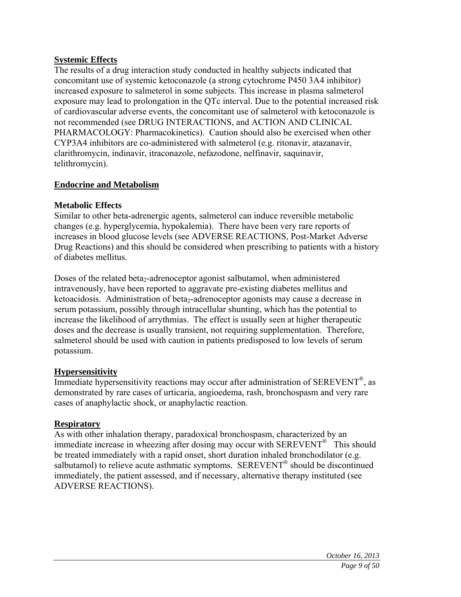### **Systemic Effects**

The results of a drug interaction study conducted in healthy subjects indicated that concomitant use of systemic ketoconazole (a strong cytochrome P450 3A4 inhibitor) increased exposure to salmeterol in some subjects. This increase in plasma salmeterol exposure may lead to prolongation in the QTc interval. Due to the potential increased risk of cardiovascular adverse events, the concomitant use of salmeterol with ketoconazole is not recommended (see DRUG INTERACTIONS, and ACTION AND CLINICAL PHARMACOLOGY: Pharmacokinetics). Caution should also be exercised when other CYP3A4 inhibitors are co-administered with salmeterol (e.g. ritonavir, atazanavir, clarithromycin, indinavir, itraconazole, nefazodone, nelfinavir, saquinavir, telithromycin).

### **Endocrine and Metabolism**

### **Metabolic Effects**

Similar to other beta-adrenergic agents, salmeterol can induce reversible metabolic changes (e.g. hyperglycemia, hypokalemia). There have been very rare reports of increases in blood glucose levels (see ADVERSE REACTIONS, Post-Market Adverse Drug Reactions) and this should be considered when prescribing to patients with a history of diabetes mellitus.

Doses of the related beta<sub>2</sub>-adrenoceptor agonist salbutamol, when administered intravenously, have been reported to aggravate pre-existing diabetes mellitus and ketoacidosis. Administration of beta<sub>2</sub>-adrenoceptor agonists may cause a decrease in serum potassium, possibly through intracellular shunting, which has the potential to increase the likelihood of arrythmias. The effect is usually seen at higher therapeutic doses and the decrease is usually transient, not requiring supplementation. Therefore, salmeterol should be used with caution in patients predisposed to low levels of serum potassium.

### **Hypersensitivity**

Immediate hypersensitivity reactions may occur after administration of  $SEREVENT^{\circledR}$ , as demonstrated by rare cases of urticaria, angioedema, rash, bronchospasm and very rare cases of anaphylactic shock, or anaphylactic reaction.

### **Respiratory**

As with other inhalation therapy, paradoxical bronchospasm, characterized by an immediate increase in wheezing after dosing may occur with SEREVENT®. This should be treated immediately with a rapid onset, short duration inhaled bronchodilator (e.g. salbutamol) to relieve acute asthmatic symptoms. SEREVENT<sup>®</sup> should be discontinued immediately, the patient assessed, and if necessary, alternative therapy instituted (see ADVERSE REACTIONS).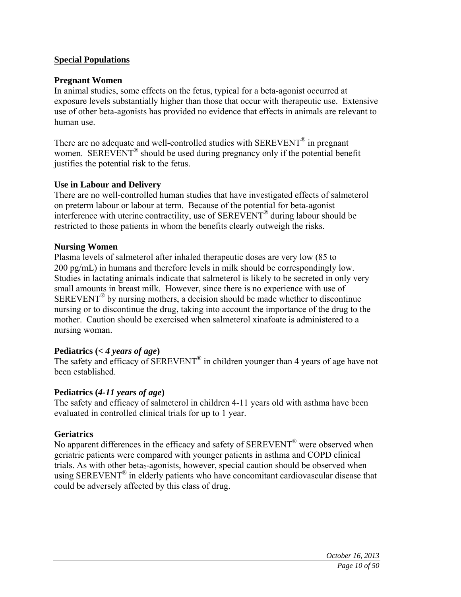### **Special Populations**

### **Pregnant Women**

In animal studies, some effects on the fetus, typical for a beta-agonist occurred at exposure levels substantially higher than those that occur with therapeutic use. Extensive use of other beta-agonists has provided no evidence that effects in animals are relevant to human use.

There are no adequate and well-controlled studies with SEREVENT<sup>®</sup> in pregnant women. SEREVENT<sup>®</sup> should be used during pregnancy only if the potential benefit justifies the potential risk to the fetus.

### **Use in Labour and Delivery**

There are no well-controlled human studies that have investigated effects of salmeterol on preterm labour or labour at term. Because of the potential for beta-agonist interference with uterine contractility, use of SEREVENT® during labour should be restricted to those patients in whom the benefits clearly outweigh the risks.

### **Nursing Women**

Plasma levels of salmeterol after inhaled therapeutic doses are very low (85 to 200 pg/mL) in humans and therefore levels in milk should be correspondingly low. Studies in lactating animals indicate that salmeterol is likely to be secreted in only very small amounts in breast milk. However, since there is no experience with use of  $SEREVENT^<sup>®</sup>$  by nursing mothers, a decision should be made whether to discontinue nursing or to discontinue the drug, taking into account the importance of the drug to the mother. Caution should be exercised when salmeterol xinafoate is administered to a nursing woman.

### **Pediatrics (***< 4 years of age***)**

The safety and efficacy of SEREVENT<sup>®</sup> in children younger than 4 years of age have not been established.

### **Pediatrics (***4-11 years of age***)**

The safety and efficacy of salmeterol in children 4-11 years old with asthma have been evaluated in controlled clinical trials for up to 1 year.

### **Geriatrics**

No apparent differences in the efficacy and safety of SEREVENT<sup>®</sup> were observed when geriatric patients were compared with younger patients in asthma and COPD clinical trials. As with other beta<sub>2</sub>-agonists, however, special caution should be observed when using SEREVENT® in elderly patients who have concomitant cardiovascular disease that could be adversely affected by this class of drug.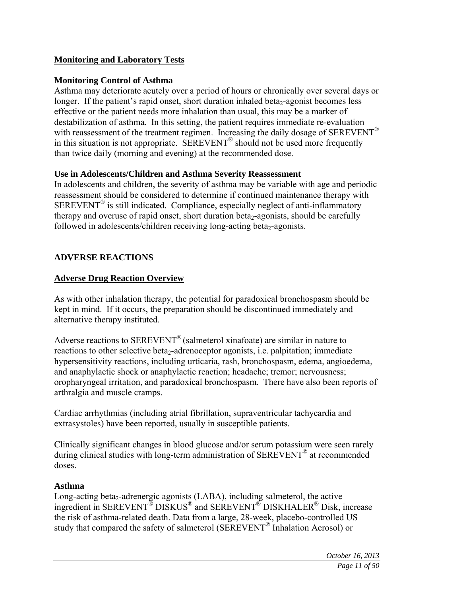### **Monitoring and Laboratory Tests**

#### **Monitoring Control of Asthma**

Asthma may deteriorate acutely over a period of hours or chronically over several days or longer. If the patient's rapid onset, short duration inhaled beta<sub>2</sub>-agonist becomes less effective or the patient needs more inhalation than usual, this may be a marker of destabilization of asthma. In this setting, the patient requires immediate re-evaluation with reassessment of the treatment regimen. Increasing the daily dosage of SEREVENT<sup>®</sup> in this situation is not appropriate.  $SEREVENT^{\circledR}$  should not be used more frequently than twice daily (morning and evening) at the recommended dose.

#### **Use in Adolescents/Children and Asthma Severity Reassessment**

In adolescents and children, the severity of asthma may be variable with age and periodic reassessment should be considered to determine if continued maintenance therapy with SEREVENT® is still indicated. Compliance, especially neglect of anti-inflammatory therapy and overuse of rapid onset, short duration beta<sub>2</sub>-agonists, should be carefully followed in adolescents/children receiving long-acting beta<sub>2</sub>-agonists.

### **ADVERSE REACTIONS**

### **Adverse Drug Reaction Overview**

As with other inhalation therapy, the potential for paradoxical bronchospasm should be kept in mind. If it occurs, the preparation should be discontinued immediately and alternative therapy instituted.

Adverse reactions to SEREVENT<sup>®</sup> (salmeterol xinafoate) are similar in nature to reactions to other selective beta<sub>2</sub>-adrenoceptor agonists, i.e. palpitation; immediate hypersensitivity reactions, including urticaria, rash, bronchospasm, edema, angioedema, and anaphylactic shock or anaphylactic reaction; headache; tremor; nervousness; oropharyngeal irritation, and paradoxical bronchospasm. There have also been reports of arthralgia and muscle cramps.

Cardiac arrhythmias (including atrial fibrillation, supraventricular tachycardia and extrasystoles) have been reported, usually in susceptible patients.

Clinically significant changes in blood glucose and/or serum potassium were seen rarely during clinical studies with long-term administration of SEREVENT<sup>®</sup> at recommended doses.

#### **Asthma**

Long-acting beta<sub>2</sub>-adrenergic agonists  $(LABA)$ , including salmeterol, the active ingredient in SEREVENT® DISKUS® and SEREVENT® DISKHALER® Disk, increase the risk of asthma-related death. Data from a large, 28-week, placebo-controlled US study that compared the safety of salmeterol (SEREVENT® Inhalation Aerosol) or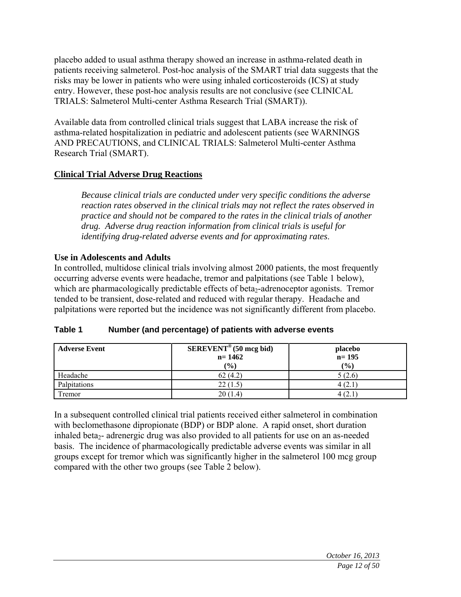placebo added to usual asthma therapy showed an increase in asthma-related death in patients receiving salmeterol. Post-hoc analysis of the SMART trial data suggests that the risks may be lower in patients who were using inhaled corticosteroids (ICS) at study entry. However, these post-hoc analysis results are not conclusive (see CLINICAL TRIALS: Salmeterol Multi-center Asthma Research Trial (SMART)).

Available data from controlled clinical trials suggest that LABA increase the risk of asthma-related hospitalization in pediatric and adolescent patients (see WARNINGS AND PRECAUTIONS, and CLINICAL TRIALS: Salmeterol Multi-center Asthma Research Trial (SMART).

### **Clinical Trial Adverse Drug Reactions**

*Because clinical trials are conducted under very specific conditions the adverse reaction rates observed in the clinical trials may not reflect the rates observed in practice and should not be compared to the rates in the clinical trials of another drug. Adverse drug reaction information from clinical trials is useful for identifying drug-related adverse events and for approximating rates*.

### **Use in Adolescents and Adults**

In controlled, multidose clinical trials involving almost 2000 patients, the most frequently occurring adverse events were headache, tremor and palpitations (see Table 1 below), which are pharmacologically predictable effects of beta<sub>2</sub>-adrenoceptor agonists. Tremor tended to be transient, dose-related and reduced with regular therapy. Headache and palpitations were reported but the incidence was not significantly different from placebo.

| <b>Adverse Event</b> | $SEREVENT^{\circledcirc}$ (50 mcg bid)<br>$n = 1462$<br>$\frac{9}{6}$ | placebo<br>$n = 195$<br>(%) |
|----------------------|-----------------------------------------------------------------------|-----------------------------|
| Headache             | 62(4.2)                                                               | 5(2.6)                      |
| Palpitations         | 22(1.5)                                                               | 4(2)                        |
| Tremor               | 20(1.4)                                                               | 12.1                        |

### **Table 1 Number (and percentage) of patients with adverse events**

In a subsequent controlled clinical trial patients received either salmeterol in combination with beclomethasone dipropionate (BDP) or BDP alone. A rapid onset, short duration inhaled beta<sub>2</sub>- adrenergic drug was also provided to all patients for use on an as-needed basis. The incidence of pharmacologically predictable adverse events was similar in all groups except for tremor which was significantly higher in the salmeterol 100 mcg group compared with the other two groups (see Table 2 below).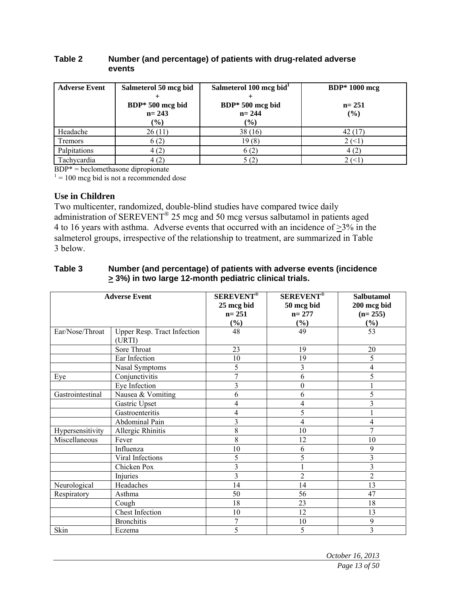#### **Table 2 Number (and percentage) of patients with drug-related adverse events**

| <b>Adverse Event</b> | Salmeterol 50 mcg bid         | Salmeterol 100 mcg bid <sup>1</sup> | <b>BDP</b> * 1000 mcg |
|----------------------|-------------------------------|-------------------------------------|-----------------------|
|                      | BDP* 500 mcg bid<br>$n = 243$ | BDP* 500 mcg bid<br>$n = 244$       | $n = 251$<br>(%)      |
|                      | $(\%)$                        | $(\%)$                              |                       |
| Headache             | 26(11)                        | 38(16)                              | 42 (17)               |
| <b>Tremors</b>       | 6(2)                          | 19(8)                               | 2 (<1                 |
| Palpitations         | 4(2)                          | 6(2)                                | 4(2)                  |
| Tachycardia          | 4(2)                          | 5(2)                                | 2(1)                  |

 $BDP* = beclomethasone dipropionate$ 

 $1 = 100$  mcg bid is not a recommended dose

#### **Use in Children**

Two multicenter, randomized, double-blind studies have compared twice daily administration of SEREVENT® 25 mcg and 50 mcg versus salbutamol in patients aged 4 to 16 years with asthma. Adverse events that occurred with an incidence of  $\geq$ 3% in the salmeterol groups, irrespective of the relationship to treatment, are summarized in Table 3 below.

| Table 3 | Number (and percentage) of patients with adverse events (incidence |
|---------|--------------------------------------------------------------------|
|         | $\geq$ 3%) in two large 12-month pediatric clinical trials.        |

|                  | <b>Adverse Event</b>                 | <b>SEREVENT<sup>®</sup></b><br>25 mcg bid<br>$n = 251$<br>$\left(\frac{0}{0}\right)$ | <b>SEREVENT<sup>®</sup></b><br>50 mcg bid<br>$n = 277$<br>$\left(\frac{0}{0}\right)$ | <b>Salbutamol</b><br>200 mcg bid<br>$(n=255)$<br>$(\%)$ |
|------------------|--------------------------------------|--------------------------------------------------------------------------------------|--------------------------------------------------------------------------------------|---------------------------------------------------------|
| Ear/Nose/Throat  | Upper Resp. Tract Infection<br>(URT) | 48                                                                                   | 49                                                                                   | $\overline{53}$                                         |
|                  | Sore Throat                          | 23                                                                                   | 19                                                                                   | 20                                                      |
|                  | Ear Infection                        | 10                                                                                   | 19                                                                                   | 5                                                       |
|                  | Nasal Symptoms                       | 5                                                                                    | 3                                                                                    | 4                                                       |
| Eye              | Conjunctivitis                       | 7                                                                                    | 6                                                                                    | 5                                                       |
|                  | Eye Infection                        | 3                                                                                    | $\theta$                                                                             |                                                         |
| Gastrointestinal | Nausea & Vomiting                    | 6                                                                                    | 6                                                                                    | 5                                                       |
|                  | Gastric Upset                        | 4                                                                                    | 4                                                                                    | $\overline{3}$                                          |
|                  | Gastroenteritis                      | 4                                                                                    | 5                                                                                    |                                                         |
|                  | Abdominal Pain                       | 3                                                                                    | $\overline{\mathcal{L}}$                                                             | 4                                                       |
| Hypersensitivity | Allergic Rhinitis                    | 8                                                                                    | 10                                                                                   | 7                                                       |
| Miscellaneous    | Fever                                | 8                                                                                    | 12                                                                                   | 10                                                      |
|                  | Influenza                            | 10                                                                                   | 6                                                                                    | 9                                                       |
|                  | Viral Infections                     | 5                                                                                    | 5                                                                                    | 3                                                       |
|                  | Chicken Pox                          | 3                                                                                    |                                                                                      | 3                                                       |
|                  | Injuries                             | 3                                                                                    | $\overline{2}$                                                                       | $\overline{c}$                                          |
| Neurological     | Headaches                            | 14                                                                                   | 14                                                                                   | 13                                                      |
| Respiratory      | Asthma                               | 50                                                                                   | 56                                                                                   | 47                                                      |
|                  | Cough                                | 18                                                                                   | 23                                                                                   | 18                                                      |
|                  | <b>Chest Infection</b>               | 10                                                                                   | 12                                                                                   | 13                                                      |
|                  | <b>Bronchitis</b>                    | 7                                                                                    | 10                                                                                   | 9                                                       |
| Skin             | Eczema                               | 5                                                                                    | 5                                                                                    | 3                                                       |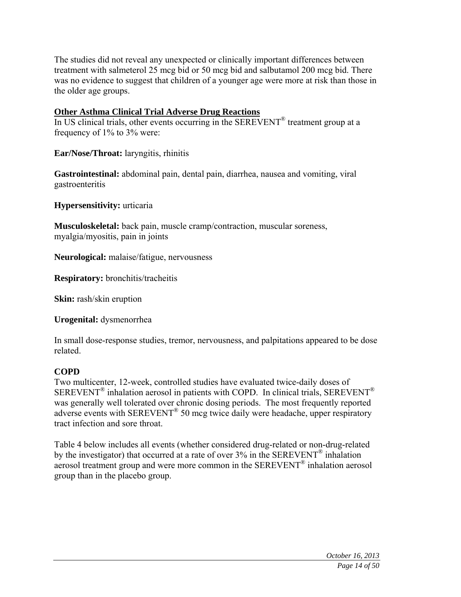The studies did not reveal any unexpected or clinically important differences between treatment with salmeterol 25 mcg bid or 50 mcg bid and salbutamol 200 mcg bid. There was no evidence to suggest that children of a younger age were more at risk than those in the older age groups.

### **Other Asthma Clinical Trial Adverse Drug Reactions**

In US clinical trials, other events occurring in the SEREVENT® treatment group at a frequency of 1% to 3% were:

**Ear/Nose/Throat:** laryngitis, rhinitis

**Gastrointestinal:** abdominal pain, dental pain, diarrhea, nausea and vomiting, viral gastroenteritis

**Hypersensitivity:** urticaria

**Musculoskeletal:** back pain, muscle cramp/contraction, muscular soreness, myalgia/myositis, pain in joints

**Neurological:** malaise/fatigue, nervousness

**Respiratory:** bronchitis/tracheitis

**Skin:** rash/skin eruption

**Urogenital:** dysmenorrhea

In small dose-response studies, tremor, nervousness, and palpitations appeared to be dose related.

# **COPD**

Two multicenter, 12-week, controlled studies have evaluated twice-daily doses of  $SEREVENT^{\circledR}$  inhalation aerosol in patients with COPD. In clinical trials,  $SEREVENT^{\circledR}$ was generally well tolerated over chronic dosing periods. The most frequently reported adverse events with SEREVENT® 50 mcg twice daily were headache, upper respiratory tract infection and sore throat.

Table 4 below includes all events (whether considered drug-related or non-drug-related by the investigator) that occurred at a rate of over 3% in the SEREVENT® inhalation aerosol treatment group and were more common in the SEREVENT® inhalation aerosol group than in the placebo group.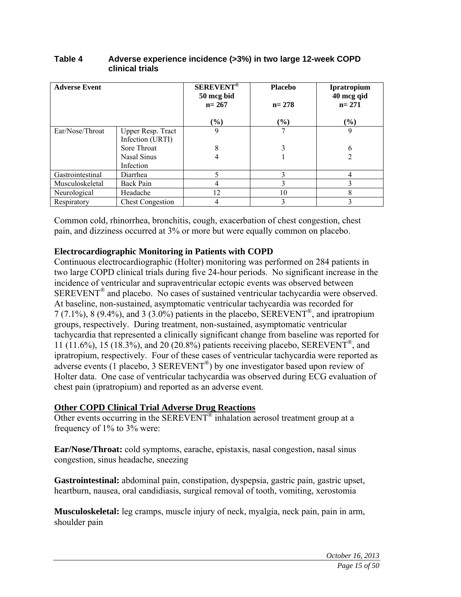| <b>Adverse Event</b> |                         | <b>SEREVENT<sup>®</sup></b><br>50 mcg bid<br>$n = 267$ | <b>Placebo</b><br>$n = 278$ | <b>Ipratropium</b><br>40 mcg qid<br>$n = 271$ |
|----------------------|-------------------------|--------------------------------------------------------|-----------------------------|-----------------------------------------------|
|                      |                         | $(\%)$                                                 | $(\%)$                      | $\frac{6}{6}$                                 |
| Ear/Nose/Throat      | Upper Resp. Tract       | 9                                                      |                             | 9                                             |
|                      | Infection (URTI)        |                                                        |                             |                                               |
|                      | Sore Throat             | 8                                                      |                             | 6                                             |
|                      | Nasal Sinus             |                                                        |                             |                                               |
|                      | Infection               |                                                        |                             |                                               |
| Gastrointestinal     | Diarrhea                |                                                        | 3                           |                                               |
| Musculoskeletal      | Back Pain               |                                                        |                             |                                               |
| Neurological         | Headache                | 12                                                     | 10                          | 8                                             |
| Respiratory          | <b>Chest Congestion</b> |                                                        | 3                           |                                               |

#### **Table 4 Adverse experience incidence (>3%) in two large 12-week COPD clinical trials**

Common cold, rhinorrhea, bronchitis, cough, exacerbation of chest congestion, chest pain, and dizziness occurred at 3% or more but were equally common on placebo.

### **Electrocardiographic Monitoring in Patients with COPD**

Continuous electrocardiographic (Holter) monitoring was performed on 284 patients in two large COPD clinical trials during five 24-hour periods. No significant increase in the incidence of ventricular and supraventricular ectopic events was observed between SEREVENT® and placebo. No cases of sustained ventricular tachycardia were observed. At baseline, non-sustained, asymptomatic ventricular tachycardia was recorded for  $7$  (7.1%), 8 (9.4%), and 3 (3.0%) patients in the placebo, SEREVENT<sup>®</sup>, and ipratropium groups, respectively. During treatment, non-sustained, asymptomatic ventricular tachycardia that represented a clinically significant change from baseline was reported for 11 (11.6%), 15 (18.3%), and 20 (20.8%) patients receiving placebo, SEREVENT<sup>®</sup>, and ipratropium, respectively. Four of these cases of ventricular tachycardia were reported as adverse events (1 placebo, 3 SEREVENT®) by one investigator based upon review of Holter data. One case of ventricular tachycardia was observed during ECG evaluation of chest pain (ipratropium) and reported as an adverse event.

### **Other COPD Clinical Trial Adverse Drug Reactions**

Other events occurring in the SEREVENT<sup>®</sup> inhalation aerosol treatment group at a frequency of 1% to 3% were:

**Ear/Nose/Throat:** cold symptoms, earache, epistaxis, nasal congestion, nasal sinus congestion, sinus headache, sneezing

**Gastrointestinal:** abdominal pain, constipation, dyspepsia, gastric pain, gastric upset, heartburn, nausea, oral candidiasis, surgical removal of tooth, vomiting, xerostomia

**Musculoskeletal:** leg cramps, muscle injury of neck, myalgia, neck pain, pain in arm, shoulder pain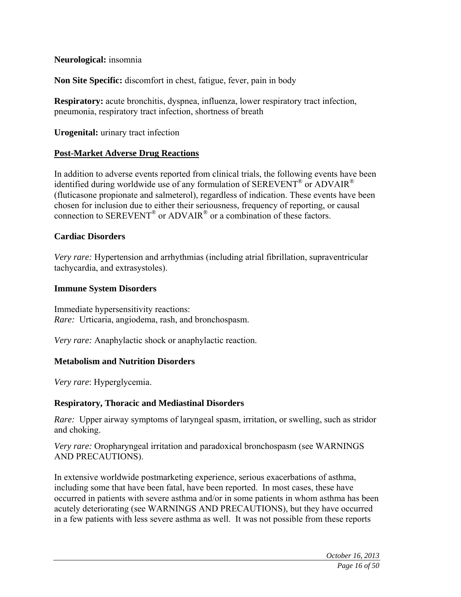### **Neurological:** insomnia

**Non Site Specific:** discomfort in chest, fatigue, fever, pain in body

**Respiratory:** acute bronchitis, dyspnea, influenza, lower respiratory tract infection, pneumonia, respiratory tract infection, shortness of breath

**Urogenital:** urinary tract infection

### **Post-Market Adverse Drug Reactions**

In addition to adverse events reported from clinical trials, the following events have been identified during worldwide use of any formulation of  $SEREVENT^{\circledR}$  or ADVAIR<sup>®</sup> (fluticasone propionate and salmeterol), regardless of indication. These events have been chosen for inclusion due to either their seriousness, frequency of reporting, or causal connection to SEREVENT® or ADVAIR® or a combination of these factors.

### **Cardiac Disorders**

*Very rare:* Hypertension and arrhythmias (including atrial fibrillation, supraventricular tachycardia, and extrasystoles).

### **Immune System Disorders**

Immediate hypersensitivity reactions: *Rare:* Urticaria, angiodema, rash, and bronchospasm.

*Very rare:* Anaphylactic shock or anaphylactic reaction.

### **Metabolism and Nutrition Disorders**

*Very rare*: Hyperglycemia.

### **Respiratory, Thoracic and Mediastinal Disorders**

*Rare:* Upper airway symptoms of laryngeal spasm, irritation, or swelling, such as stridor and choking.

*Very rare:* Oropharyngeal irritation and paradoxical bronchospasm (see WARNINGS AND PRECAUTIONS).

In extensive worldwide postmarketing experience, serious exacerbations of asthma, including some that have been fatal, have been reported. In most cases, these have occurred in patients with severe asthma and/or in some patients in whom asthma has been acutely deteriorating (see WARNINGS AND PRECAUTIONS), but they have occurred in a few patients with less severe asthma as well. It was not possible from these reports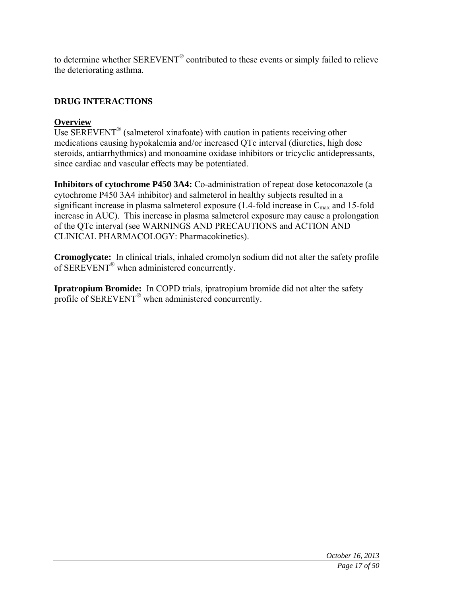to determine whether SEREVENT® contributed to these events or simply failed to relieve the deteriorating asthma.

# **DRUG INTERACTIONS**

# **Overview**

Use SEREVENT<sup>®</sup> (salmeterol xinafoate) with caution in patients receiving other medications causing hypokalemia and/or increased QTc interval (diuretics, high dose steroids, antiarrhythmics) and monoamine oxidase inhibitors or tricyclic antidepressants, since cardiac and vascular effects may be potentiated.

**Inhibitors of cytochrome P450 3A4:** Co-administration of repeat dose ketoconazole (a cytochrome P450 3A4 inhibitor) and salmeterol in healthy subjects resulted in a significant increase in plasma salmeterol exposure  $(1.4\text{-}fold$  increase in  $C_{\text{max}}$  and 15-fold increase in AUC). This increase in plasma salmeterol exposure may cause a prolongation of the QTc interval (see WARNINGS AND PRECAUTIONS and ACTION AND CLINICAL PHARMACOLOGY: Pharmacokinetics).

**Cromoglycate:** In clinical trials, inhaled cromolyn sodium did not alter the safety profile of SEREVENT® when administered concurrently.

**Ipratropium Bromide:** In COPD trials, ipratropium bromide did not alter the safety profile of SEREVENT® when administered concurrently.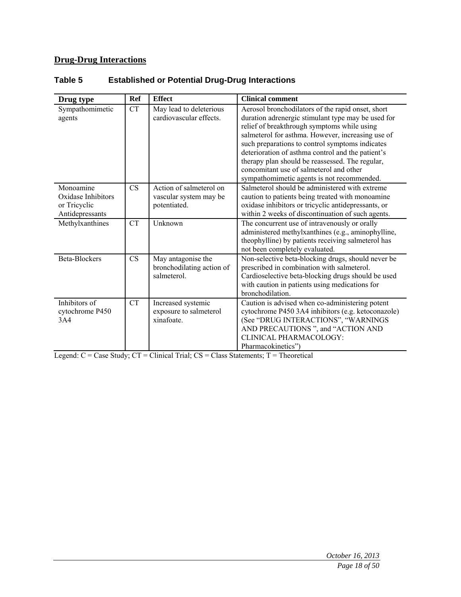# **Drug-Drug Interactions**

| Drug type                                                          | <b>Ref</b> | <b>Effect</b>                                                     | <b>Clinical comment</b>                                                                                                                                                                                                                                                                                                                                                                                                                                         |
|--------------------------------------------------------------------|------------|-------------------------------------------------------------------|-----------------------------------------------------------------------------------------------------------------------------------------------------------------------------------------------------------------------------------------------------------------------------------------------------------------------------------------------------------------------------------------------------------------------------------------------------------------|
| Sympathomimetic<br>agents                                          | <b>CT</b>  | May lead to deleterious<br>cardiovascular effects.                | Aerosol bronchodilators of the rapid onset, short<br>duration adrenergic stimulant type may be used for<br>relief of breakthrough symptoms while using<br>salmeterol for asthma. However, increasing use of<br>such preparations to control symptoms indicates<br>deterioration of asthma control and the patient's<br>therapy plan should be reassessed. The regular,<br>concomitant use of salmeterol and other<br>sympathomimetic agents is not recommended. |
| Monoamine<br>Oxidase Inhibitors<br>or Tricyclic<br>Antidepressants | CS         | Action of salmeterol on<br>vascular system may be<br>potentiated. | Salmeterol should be administered with extreme<br>caution to patients being treated with monoamine<br>oxidase inhibitors or tricyclic antidepressants, or<br>within 2 weeks of discontinuation of such agents.                                                                                                                                                                                                                                                  |
| Methylxanthines                                                    | <b>CT</b>  | Unknown                                                           | The concurrent use of intravenously or orally<br>administered methylxanthines (e.g., aminophylline,<br>theophylline) by patients receiving salmeterol has<br>not been completely evaluated.                                                                                                                                                                                                                                                                     |
| Beta-Blockers                                                      | CS         | May antagonise the<br>bronchodilating action of<br>salmeterol.    | Non-selective beta-blocking drugs, should never be<br>prescribed in combination with salmeterol.<br>Cardioselective beta-blocking drugs should be used<br>with caution in patients using medications for<br>bronchodilation.                                                                                                                                                                                                                                    |
| Inhibitors of<br>cytochrome P450<br>3A4                            | <b>CT</b>  | Increased systemic<br>exposure to salmeterol<br>xinafoate.        | Caution is advised when co-administering potent<br>cytochrome P450 3A4 inhibitors (e.g. ketoconazole)<br>(See "DRUG INTERACTIONS", "WARNINGS<br>AND PRECAUTIONS ", and "ACTION AND<br>CLINICAL PHARMACOLOGY:<br>Pharmacokinetics"                                                                                                                                                                                                                               |

# **Table 5 Established or Potential Drug-Drug Interactions**

Legend:  $C = Case Study$ ;  $CT = Clinical Trial$ ;  $CS = Class Statements$ ;  $T = Theoretical$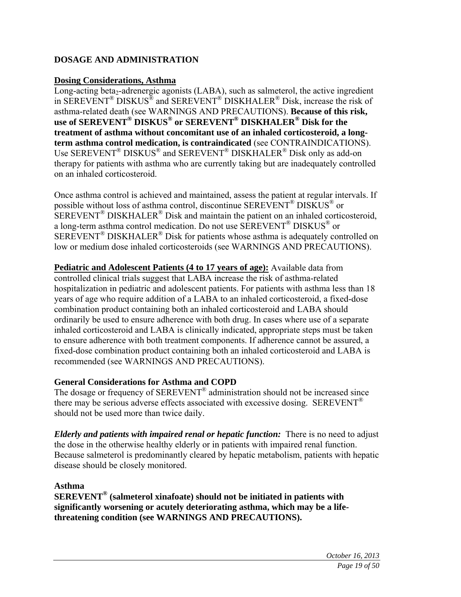# **DOSAGE AND ADMINISTRATION**

### **Dosing Considerations, Asthma**

Long-acting beta<sub>2</sub>-adrenergic agonists  $(LABA)$ , such as salmeterol, the active ingredient in SEREVENT® DISKUS® and SEREVENT® DISKHALER® Disk, increase the risk of asthma-related death (see WARNINGS AND PRECAUTIONS). **Because of this risk, use of SEREVENT® DISKUS® or SEREVENT® DISKHALER® Disk for the treatment of asthma without concomitant use of an inhaled corticosteroid, a longterm asthma control medication, is contraindicated** (see CONTRAINDICATIONS). Use SEREVENT® DISKUS® and SEREVENT® DISKHALER® Disk only as add-on therapy for patients with asthma who are currently taking but are inadequately controlled on an inhaled corticosteroid.

Once asthma control is achieved and maintained, assess the patient at regular intervals. If possible without loss of asthma control, discontinue SEREVENT® DISKUS® or  $SEREVENT^{\circledR} DISKHALER^{\circledR}$  Disk and maintain the patient on an inhaled corticosteroid, a long-term asthma control medication. Do not use SEREVENT® DISKUS® or  $SEREVENT^{\circledR}$  DISKHALER<sup>®</sup> Disk for patients whose asthma is adequately controlled on low or medium dose inhaled corticosteroids (see WARNINGS AND PRECAUTIONS).

**Pediatric and Adolescent Patients (4 to 17 years of age):** Available data from controlled clinical trials suggest that LABA increase the risk of asthma-related hospitalization in pediatric and adolescent patients. For patients with asthma less than 18 years of age who require addition of a LABA to an inhaled corticosteroid, a fixed-dose combination product containing both an inhaled corticosteroid and LABA should ordinarily be used to ensure adherence with both drug. In cases where use of a separate inhaled corticosteroid and LABA is clinically indicated, appropriate steps must be taken to ensure adherence with both treatment components. If adherence cannot be assured, a fixed-dose combination product containing both an inhaled corticosteroid and LABA is recommended (see WARNINGS AND PRECAUTIONS).

### **General Considerations for Asthma and COPD**

The dosage or frequency of SEREVENT<sup>®</sup> administration should not be increased since there may be serious adverse effects associated with excessive dosing. SEREVENT<sup>®</sup> should not be used more than twice daily.

*Elderly and patients with impaired renal or hepatic function:* There is no need to adjust the dose in the otherwise healthy elderly or in patients with impaired renal function. Because salmeterol is predominantly cleared by hepatic metabolism, patients with hepatic disease should be closely monitored.

### **Asthma**

**SEREVENT® (salmeterol xinafoate) should not be initiated in patients with significantly worsening or acutely deteriorating asthma, which may be a lifethreatening condition (see WARNINGS AND PRECAUTIONS).**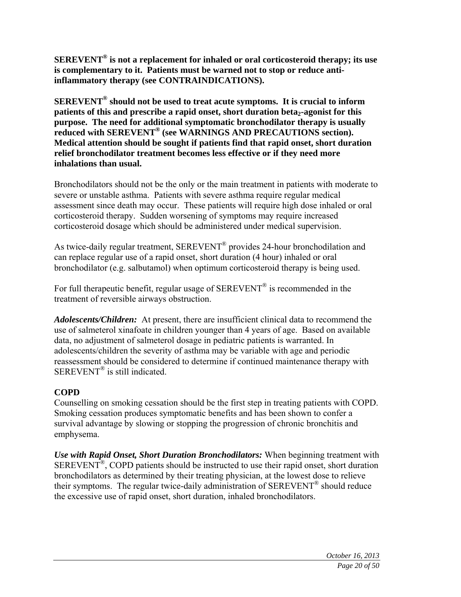**SEREVENT® is not a replacement for inhaled or oral corticosteroid therapy; its use is complementary to it. Patients must be warned not to stop or reduce antiinflammatory therapy (see CONTRAINDICATIONS).** 

**SEREVENT® should not be used to treat acute symptoms. It is crucial to inform patients of this and prescribe a rapid onset, short duration beta<sub>2</sub>-agonist for this purpose. The need for additional symptomatic bronchodilator therapy is usually reduced with SEREVENT® (see WARNINGS AND PRECAUTIONS section). Medical attention should be sought if patients find that rapid onset, short duration relief bronchodilator treatment becomes less effective or if they need more inhalations than usual.** 

Bronchodilators should not be the only or the main treatment in patients with moderate to severe or unstable asthma. Patients with severe asthma require regular medical assessment since death may occur. These patients will require high dose inhaled or oral corticosteroid therapy. Sudden worsening of symptoms may require increased corticosteroid dosage which should be administered under medical supervision.

As twice-daily regular treatment, SEREVENT® provides 24-hour bronchodilation and can replace regular use of a rapid onset, short duration (4 hour) inhaled or oral bronchodilator (e.g. salbutamol) when optimum corticosteroid therapy is being used.

For full therapeutic benefit, regular usage of SEREVENT<sup>®</sup> is recommended in the treatment of reversible airways obstruction.

*Adolescents/Children:* At present, there are insufficient clinical data to recommend the use of salmeterol xinafoate in children younger than 4 years of age. Based on available data, no adjustment of salmeterol dosage in pediatric patients is warranted. In adolescents/children the severity of asthma may be variable with age and periodic reassessment should be considered to determine if continued maintenance therapy with SEREVENT<sup>®</sup> is still indicated.

### **COPD**

Counselling on smoking cessation should be the first step in treating patients with COPD. Smoking cessation produces symptomatic benefits and has been shown to confer a survival advantage by slowing or stopping the progression of chronic bronchitis and emphysema.

*Use with Rapid Onset, Short Duration Bronchodilators:* When beginning treatment with SEREVENT®, COPD patients should be instructed to use their rapid onset, short duration bronchodilators as determined by their treating physician, at the lowest dose to relieve their symptoms. The regular twice-daily administration of SEREVENT<sup>®</sup> should reduce the excessive use of rapid onset, short duration, inhaled bronchodilators.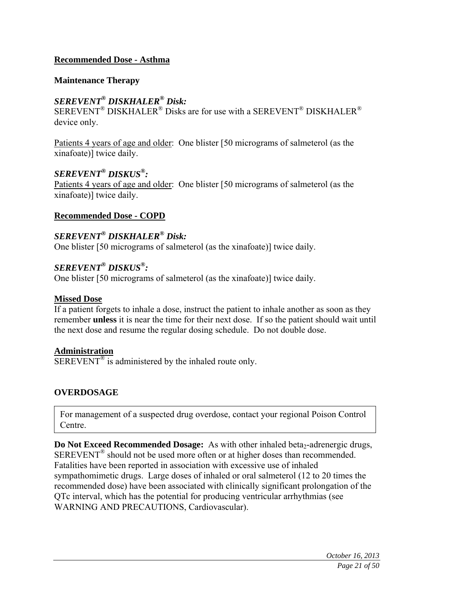### **Recommended Dose - Asthma**

#### **Maintenance Therapy**

### *SEREVENT® DISKHALER® Disk:*

 $SEREVENT^{\circledR}$  DISKHALER<sup>®</sup> Disks are for use with a SEREVENT<sup>®</sup> DISKHALER<sup>®</sup> device only.

Patients 4 years of age and older: One blister [50 micrograms of salmeterol (as the xinafoate)] twice daily.

### *SEREVENT® DISKUS®:*

Patients 4 years of age and older: One blister [50 micrograms of salmeterol (as the xinafoate)] twice daily.

### **Recommended Dose - COPD**

# *SEREVENT® DISKHALER® Disk:*

One blister [50 micrograms of salmeterol (as the xinafoate)] twice daily.

### *SEREVENT® DISKUS®:*

One blister [50 micrograms of salmeterol (as the xinafoate)] twice daily.

#### **Missed Dose**

If a patient forgets to inhale a dose, instruct the patient to inhale another as soon as they remember **unless** it is near the time for their next dose. If so the patient should wait until the next dose and resume the regular dosing schedule. Do not double dose.

#### **Administration**

 $\overline{\text{SEREVENT}}^{\textcircled{B}}$  is administered by the inhaled route only.

### **OVERDOSAGE**

For management of a suspected drug overdose, contact your regional Poison Control Centre.

**Do Not Exceed Recommended Dosage:** As with other inhaled beta<sub>2</sub>-adrenergic drugs, SEREVENT® should not be used more often or at higher doses than recommended. Fatalities have been reported in association with excessive use of inhaled sympathomimetic drugs. Large doses of inhaled or oral salmeterol (12 to 20 times the recommended dose) have been associated with clinically significant prolongation of the QTc interval, which has the potential for producing ventricular arrhythmias (see WARNING AND PRECAUTIONS, Cardiovascular).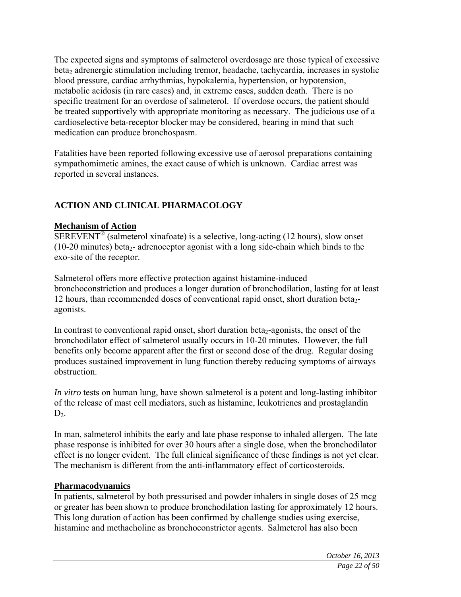The expected signs and symptoms of salmeterol overdosage are those typical of excessive beta<sub>2</sub> adrenergic stimulation including tremor, headache, tachycardia, increases in systolic blood pressure, cardiac arrhythmias, hypokalemia, hypertension, or hypotension, metabolic acidosis (in rare cases) and, in extreme cases, sudden death. There is no specific treatment for an overdose of salmeterol. If overdose occurs, the patient should be treated supportively with appropriate monitoring as necessary. The judicious use of a cardioselective beta-receptor blocker may be considered, bearing in mind that such medication can produce bronchospasm.

Fatalities have been reported following excessive use of aerosol preparations containing sympathomimetic amines, the exact cause of which is unknown. Cardiac arrest was reported in several instances.

# **ACTION AND CLINICAL PHARMACOLOGY**

### **Mechanism of Action**

 $SEREVENT^{\circledR}$  (salmeterol xinafoate) is a selective, long-acting (12 hours), slow onset (10-20 minutes) beta<sub>2</sub>- adrenoceptor agonist with a long side-chain which binds to the exo-site of the receptor.

Salmeterol offers more effective protection against histamine-induced bronchoconstriction and produces a longer duration of bronchodilation, lasting for at least 12 hours, than recommended doses of conventional rapid onset, short duration beta<sub>2</sub>agonists.

In contrast to conventional rapid onset, short duration beta<sub>2</sub>-agonists, the onset of the bronchodilator effect of salmeterol usually occurs in 10-20 minutes. However, the full benefits only become apparent after the first or second dose of the drug. Regular dosing produces sustained improvement in lung function thereby reducing symptoms of airways obstruction.

*In vitro* tests on human lung, have shown salmeterol is a potent and long-lasting inhibitor of the release of mast cell mediators, such as histamine, leukotrienes and prostaglandin  $D<sub>2</sub>$ .

In man, salmeterol inhibits the early and late phase response to inhaled allergen. The late phase response is inhibited for over 30 hours after a single dose, when the bronchodilator effect is no longer evident. The full clinical significance of these findings is not yet clear. The mechanism is different from the anti-inflammatory effect of corticosteroids.

### **Pharmacodynamics**

In patients, salmeterol by both pressurised and powder inhalers in single doses of 25 mcg or greater has been shown to produce bronchodilation lasting for approximately 12 hours. This long duration of action has been confirmed by challenge studies using exercise, histamine and methacholine as bronchoconstrictor agents. Salmeterol has also been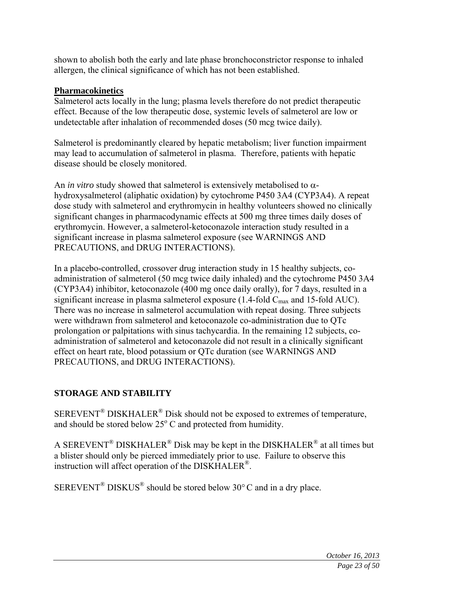shown to abolish both the early and late phase bronchoconstrictor response to inhaled allergen, the clinical significance of which has not been established.

### **Pharmacokinetics**

Salmeterol acts locally in the lung; plasma levels therefore do not predict therapeutic effect. Because of the low therapeutic dose, systemic levels of salmeterol are low or undetectable after inhalation of recommended doses (50 mcg twice daily).

Salmeterol is predominantly cleared by hepatic metabolism; liver function impairment may lead to accumulation of salmeterol in plasma. Therefore, patients with hepatic disease should be closely monitored.

An *in vitro* study showed that salmeterol is extensively metabolised to  $\alpha$ hydroxysalmeterol (aliphatic oxidation) by cytochrome P450 3A4 (CYP3A4). A repeat dose study with salmeterol and erythromycin in healthy volunteers showed no clinically significant changes in pharmacodynamic effects at 500 mg three times daily doses of erythromycin. However, a salmeterol-ketoconazole interaction study resulted in a significant increase in plasma salmeterol exposure (see WARNINGS AND PRECAUTIONS, and DRUG INTERACTIONS).

In a placebo-controlled, crossover drug interaction study in 15 healthy subjects, coadministration of salmeterol (50 mcg twice daily inhaled) and the cytochrome P450 3A4 (CYP3A4) inhibitor, ketoconazole (400 mg once daily orally), for 7 days, resulted in a significant increase in plasma salmeterol exposure  $(1.4\text{-}fold \, C_{\text{max}}$  and 15-fold AUC). There was no increase in salmeterol accumulation with repeat dosing. Three subjects were withdrawn from salmeterol and ketoconazole co-administration due to QTc prolongation or palpitations with sinus tachycardia. In the remaining 12 subjects, coadministration of salmeterol and ketoconazole did not result in a clinically significant effect on heart rate, blood potassium or QTc duration (see WARNINGS AND PRECAUTIONS, and DRUG INTERACTIONS).

### **STORAGE AND STABILITY**

SEREVENT® DISKHALER® Disk should not be exposed to extremes of temperature, and should be stored below  $25^{\circ}$  C and protected from humidity.

A SEREVENT<sup>®</sup> DISKHALER<sup>®</sup> Disk may be kept in the DISKHALER<sup>®</sup> at all times but a blister should only be pierced immediately prior to use. Failure to observe this instruction will affect operation of the DISKHALER®.

SEREVENT<sup>®</sup> DISKUS<sup>®</sup> should be stored below 30 $\degree$ C and in a dry place.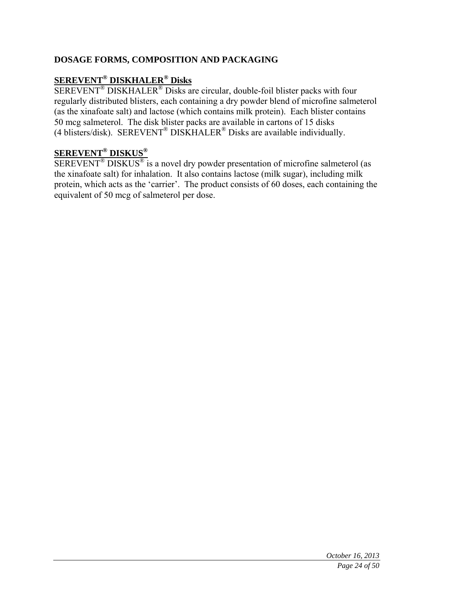# **DOSAGE FORMS, COMPOSITION AND PACKAGING**

# **SEREVENT® DISKHALER® Disks**

SEREVENT<sup>®</sup> DISKHALER<sup>®</sup> Disks are circular, double-foil blister packs with four regularly distributed blisters, each containing a dry powder blend of microfine salmeterol (as the xinafoate salt) and lactose (which contains milk protein). Each blister contains 50 mcg salmeterol. The disk blister packs are available in cartons of 15 disks (4 blisters/disk). SEREVENT® DISKHALER® Disks are available individually.

# **SEREVENT® DISKUS®**

SEREVENT® DISKUS® is a novel dry powder presentation of microfine salmeterol (as the xinafoate salt) for inhalation. It also contains lactose (milk sugar), including milk protein, which acts as the 'carrier'. The product consists of 60 doses, each containing the equivalent of 50 mcg of salmeterol per dose.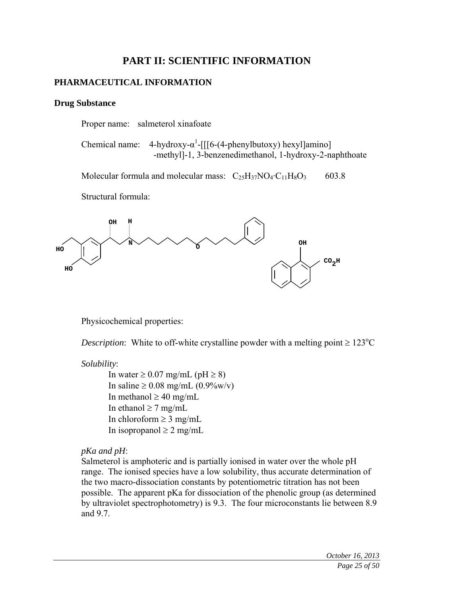# **PART II: SCIENTIFIC INFORMATION**

### **PHARMACEUTICAL INFORMATION**

#### **Drug Substance**

Proper name: salmeterol xinafoate

Chemical name:  $4$ -hydroxy- $\alpha^1$ -[[[6-(4-phenylbutoxy) hexyl]amino] -methyl]-1, 3-benzenedimethanol, 1-hydroxy-2-naphthoate

Molecular formula and molecular mass:  $C_{25}H_{37}NO_4 \cdot C_{11}H_8O_3$  603.8

Structural formula:



Physicochemical properties:

*Description*: White to off-white crystalline powder with a melting point  $\geq 123^{\circ}$ C

*Solubility*:

In water  $\geq 0.07$  mg/mL (pH  $\geq 8$ ) In saline  $\geq 0.08$  mg/mL (0.9%w/v) In methanol  $\geq 40$  mg/mL In ethanol  $\geq 7$  mg/mL In chloroform  $\geq 3$  mg/mL In isopropanol  $\geq 2$  mg/mL

### *pKa and pH*:

Salmeterol is amphoteric and is partially ionised in water over the whole pH range. The ionised species have a low solubility, thus accurate determination of the two macro-dissociation constants by potentiometric titration has not been possible. The apparent pKa for dissociation of the phenolic group (as determined by ultraviolet spectrophotometry) is 9.3. The four microconstants lie between 8.9 and 9.7.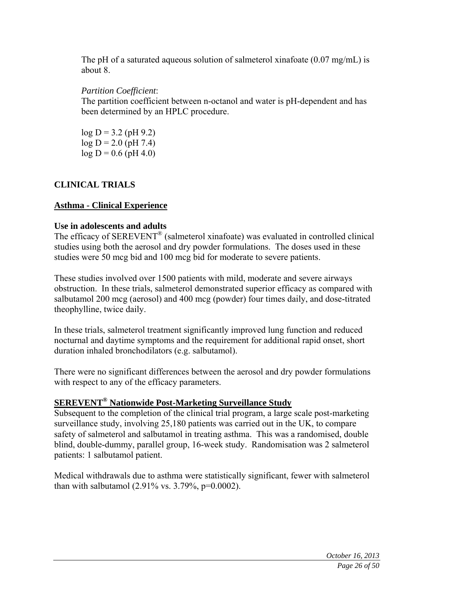The pH of a saturated aqueous solution of salmeterol xinafoate (0.07 mg/mL) is about 8.

# *Partition Coefficient*:

The partition coefficient between n-octanol and water is pH-dependent and has been determined by an HPLC procedure.

 $log D = 3.2$  (pH 9.2)  $log D = 2.0$  (pH 7.4)  $log D = 0.6$  (pH 4.0)

# **CLINICAL TRIALS**

# **Asthma - Clinical Experience**

### **Use in adolescents and adults**

The efficacy of SEREVENT<sup>®</sup> (salmeterol xinafoate) was evaluated in controlled clinical studies using both the aerosol and dry powder formulations. The doses used in these studies were 50 mcg bid and 100 mcg bid for moderate to severe patients.

These studies involved over 1500 patients with mild, moderate and severe airways obstruction. In these trials, salmeterol demonstrated superior efficacy as compared with salbutamol 200 mcg (aerosol) and 400 mcg (powder) four times daily, and dose-titrated theophylline, twice daily.

In these trials, salmeterol treatment significantly improved lung function and reduced nocturnal and daytime symptoms and the requirement for additional rapid onset, short duration inhaled bronchodilators (e.g. salbutamol).

There were no significant differences between the aerosol and dry powder formulations with respect to any of the efficacy parameters.

# **SEREVENT® Nationwide Post-Marketing Surveillance Study**

Subsequent to the completion of the clinical trial program, a large scale post-marketing surveillance study, involving 25,180 patients was carried out in the UK, to compare safety of salmeterol and salbutamol in treating asthma. This was a randomised, double blind, double-dummy, parallel group, 16-week study. Randomisation was 2 salmeterol patients: 1 salbutamol patient.

Medical withdrawals due to asthma were statistically significant, fewer with salmeterol than with salbutamol  $(2.91\% \text{ vs. } 3.79\% \text{, } p=0.0002)$ .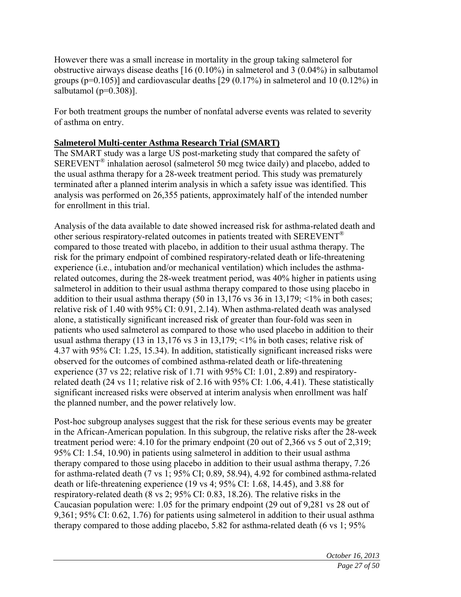However there was a small increase in mortality in the group taking salmeterol for obstructive airways disease deaths [16 (0.10%) in salmeterol and 3 (0.04%) in salbutamol groups ( $p=0.105$ )] and cardiovascular deaths [29 (0.17%) in salmeterol and 10 (0.12%) in salbutamol (p=0.308)].

For both treatment groups the number of nonfatal adverse events was related to severity of asthma on entry.

### **Salmeterol Multi-center Asthma Research Trial (SMART)**

The SMART study was a large US post-marketing study that compared the safety of SEREVENT® inhalation aerosol (salmeterol 50 mcg twice daily) and placebo, added to the usual asthma therapy for a 28-week treatment period. This study was prematurely terminated after a planned interim analysis in which a safety issue was identified. This analysis was performed on 26,355 patients, approximately half of the intended number for enrollment in this trial.

Analysis of the data available to date showed increased risk for asthma-related death and other serious respiratory-related outcomes in patients treated with SEREVENT<sup>®</sup> compared to those treated with placebo, in addition to their usual asthma therapy. The risk for the primary endpoint of combined respiratory-related death or life-threatening experience (i.e., intubation and/or mechanical ventilation) which includes the asthmarelated outcomes, during the 28-week treatment period, was 40% higher in patients using salmeterol in addition to their usual asthma therapy compared to those using placebo in addition to their usual asthma therapy  $(50 \text{ in } 13,176 \text{ vs } 36 \text{ in } 13,179; \le 1\% \text{ in both cases};$ relative risk of 1.40 with 95% CI: 0.91, 2.14). When asthma-related death was analysed alone, a statistically significant increased risk of greater than four-fold was seen in patients who used salmeterol as compared to those who used placebo in addition to their usual asthma therapy (13 in 13,176 vs 3 in 13,179;  $\leq$ 1% in both cases; relative risk of 4.37 with 95% CI: 1.25, 15.34). In addition, statistically significant increased risks were observed for the outcomes of combined asthma-related death or life-threatening experience (37 vs 22; relative risk of 1.71 with 95% CI: 1.01, 2.89) and respiratoryrelated death (24 vs 11; relative risk of 2.16 with 95% CI: 1.06, 4.41). These statistically significant increased risks were observed at interim analysis when enrollment was half the planned number, and the power relatively low.

Post-hoc subgroup analyses suggest that the risk for these serious events may be greater in the African-American population. In this subgroup, the relative risks after the 28-week treatment period were: 4.10 for the primary endpoint (20 out of 2,366 vs 5 out of 2,319; 95% CI: 1.54, 10.90) in patients using salmeterol in addition to their usual asthma therapy compared to those using placebo in addition to their usual asthma therapy, 7.26 for asthma-related death (7 vs 1; 95% CI; 0.89, 58.94), 4.92 for combined asthma-related death or life-threatening experience (19 vs 4; 95% CI: 1.68, 14.45), and 3.88 for respiratory-related death (8 vs 2; 95% CI: 0.83, 18.26). The relative risks in the Caucasian population were: 1.05 for the primary endpoint (29 out of 9,281 vs 28 out of 9,361; 95% CI: 0.62, 1.76) for patients using salmeterol in addition to their usual asthma therapy compared to those adding placebo, 5.82 for asthma-related death (6 vs 1; 95%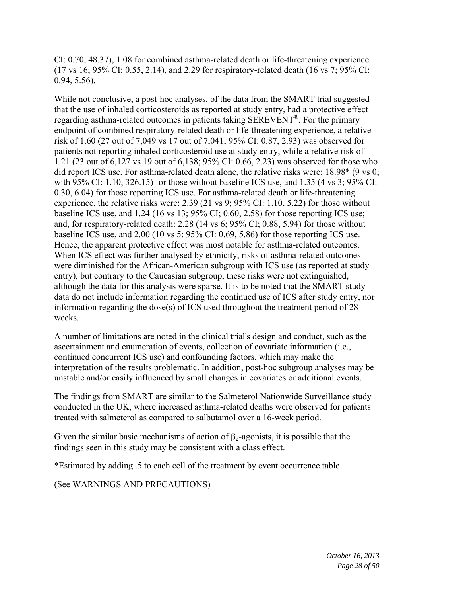CI: 0.70, 48.37), 1.08 for combined asthma-related death or life-threatening experience (17 vs 16; 95% CI: 0.55, 2.14), and 2.29 for respiratory-related death (16 vs 7; 95% CI: 0.94, 5.56).

While not conclusive, a post-hoc analyses, of the data from the SMART trial suggested that the use of inhaled corticosteroids as reported at study entry, had a protective effect regarding asthma-related outcomes in patients taking SEREVENT®. For the primary endpoint of combined respiratory-related death or life-threatening experience, a relative risk of 1.60 (27 out of 7,049 vs 17 out of 7,041; 95% CI: 0.87, 2.93) was observed for patients not reporting inhaled corticosteroid use at study entry, while a relative risk of 1.21 (23 out of 6,127 vs 19 out of 6,138; 95% CI: 0.66, 2.23) was observed for those who did report ICS use. For asthma-related death alone, the relative risks were: 18.98\* (9 vs 0; with 95% CI: 1.10, 326.15) for those without baseline ICS use, and 1.35 (4 vs 3; 95% CI: 0.30, 6.04) for those reporting ICS use. For asthma-related death or life-threatening experience, the relative risks were: 2.39 (21 vs 9; 95% CI: 1.10, 5.22) for those without baseline ICS use, and 1.24 (16 vs 13; 95% CI; 0.60, 2.58) for those reporting ICS use; and, for respiratory-related death: 2.28 (14 vs 6; 95% CI; 0.88, 5.94) for those without baseline ICS use, and 2.00 (10 vs 5; 95% CI: 0.69, 5.86) for those reporting ICS use. Hence, the apparent protective effect was most notable for asthma-related outcomes. When ICS effect was further analysed by ethnicity, risks of asthma-related outcomes were diminished for the African-American subgroup with ICS use (as reported at study entry), but contrary to the Caucasian subgroup, these risks were not extinguished, although the data for this analysis were sparse. It is to be noted that the SMART study data do not include information regarding the continued use of ICS after study entry, nor information regarding the dose(s) of ICS used throughout the treatment period of 28 weeks.

A number of limitations are noted in the clinical trial's design and conduct, such as the ascertainment and enumeration of events, collection of covariate information (i.e., continued concurrent ICS use) and confounding factors, which may make the interpretation of the results problematic. In addition, post-hoc subgroup analyses may be unstable and/or easily influenced by small changes in covariates or additional events.

The findings from SMART are similar to the Salmeterol Nationwide Surveillance study conducted in the UK, where increased asthma-related deaths were observed for patients treated with salmeterol as compared to salbutamol over a 16-week period.

Given the similar basic mechanisms of action of  $\beta_2$ -agonists, it is possible that the findings seen in this study may be consistent with a class effect.

\*Estimated by adding .5 to each cell of the treatment by event occurrence table.

(See WARNINGS AND PRECAUTIONS)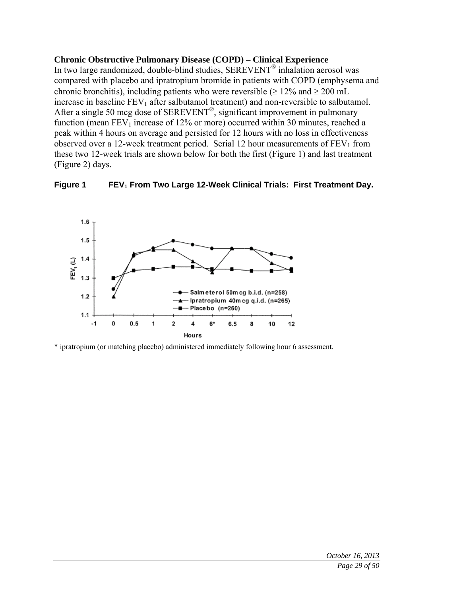### **Chronic Obstructive Pulmonary Disease (COPD) – Clinical Experience**

In two large randomized, double-blind studies, SEREVENT® inhalation aerosol was compared with placebo and ipratropium bromide in patients with COPD (emphysema and chronic bronchitis), including patients who were reversible ( $\geq 12\%$  and  $\geq 200$  mL increase in baseline  $FEV_1$  after salbutamol treatment) and non-reversible to salbutamol. After a single 50 mcg dose of SEREVENT®, significant improvement in pulmonary function (mean  $FEV<sub>1</sub>$  increase of 12% or more) occurred within 30 minutes, reached a peak within 4 hours on average and persisted for 12 hours with no loss in effectiveness observed over a 12-week treatment period. Serial 12 hour measurements of  $FEV<sub>1</sub>$  from these two 12-week trials are shown below for both the first (Figure 1) and last treatment (Figure 2) days.





\* ipratropium (or matching placebo) administered immediately following hour 6 assessment.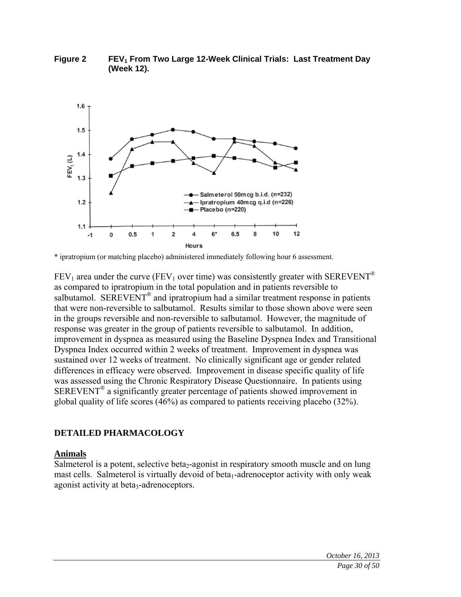

**Figure 2** FEV<sub>1</sub> From Two Large 12-Week Clinical Trials: Last Treatment Day **(Week 12).** 

 $FEV_1$  area under the curve (FEV<sub>1</sub> over time) was consistently greater with SEREVENT<sup>®</sup> as compared to ipratropium in the total population and in patients reversible to salbutamol. SEREVENT<sup>®</sup> and ipratropium had a similar treatment response in patients that were non-reversible to salbutamol. Results similar to those shown above were seen in the groups reversible and non-reversible to salbutamol. However, the magnitude of response was greater in the group of patients reversible to salbutamol. In addition, improvement in dyspnea as measured using the Baseline Dyspnea Index and Transitional Dyspnea Index occurred within 2 weeks of treatment. Improvement in dyspnea was sustained over 12 weeks of treatment. No clinically significant age or gender related differences in efficacy were observed. Improvement in disease specific quality of life was assessed using the Chronic Respiratory Disease Questionnaire. In patients using SEREVENT® a significantly greater percentage of patients showed improvement in global quality of life scores (46%) as compared to patients receiving placebo (32%).

### **DETAILED PHARMACOLOGY**

#### **Animals**

Salmeterol is a potent, selective beta<sub>2</sub>-agonist in respiratory smooth muscle and on lung mast cells. Salmeterol is virtually devoid of beta<sub>1</sub>-adrenoceptor activity with only weak agonist activity at beta<sub>3</sub>-adrenoceptors.

<sup>\*</sup> ipratropium (or matching placebo) administered immediately following hour 6 assessment.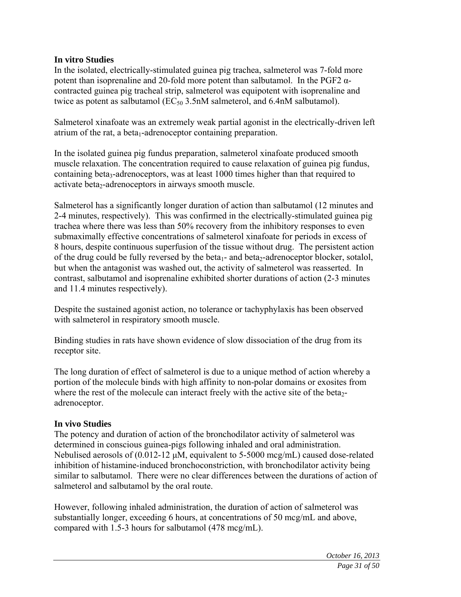### **In vitro Studies**

In the isolated, electrically-stimulated guinea pig trachea, salmeterol was 7-fold more potent than isoprenaline and 20-fold more potent than salbutamol. In the PGF2  $α$ contracted guinea pig tracheal strip, salmeterol was equipotent with isoprenaline and twice as potent as salbutamol ( $EC_{50}$  3.5nM salmeterol, and 6.4nM salbutamol).

Salmeterol xinafoate was an extremely weak partial agonist in the electrically-driven left atrium of the rat, a beta<sub>1</sub>-adrenoceptor containing preparation.

In the isolated guinea pig fundus preparation, salmeterol xinafoate produced smooth muscle relaxation. The concentration required to cause relaxation of guinea pig fundus, containing beta<sub>3</sub>-adrenoceptors, was at least 1000 times higher than that required to activate beta<sub>2</sub>-adrenoceptors in airways smooth muscle.

Salmeterol has a significantly longer duration of action than salbutamol (12 minutes and 2-4 minutes, respectively). This was confirmed in the electrically-stimulated guinea pig trachea where there was less than 50% recovery from the inhibitory responses to even submaximally effective concentrations of salmeterol xinafoate for periods in excess of 8 hours, despite continuous superfusion of the tissue without drug. The persistent action of the drug could be fully reversed by the beta<sub>1</sub>- and beta<sub>2</sub>-adrenoceptor blocker, sotalol, but when the antagonist was washed out, the activity of salmeterol was reasserted. In contrast, salbutamol and isoprenaline exhibited shorter durations of action (2-3 minutes and 11.4 minutes respectively).

Despite the sustained agonist action, no tolerance or tachyphylaxis has been observed with salmeterol in respiratory smooth muscle.

Binding studies in rats have shown evidence of slow dissociation of the drug from its receptor site.

The long duration of effect of salmeterol is due to a unique method of action whereby a portion of the molecule binds with high affinity to non-polar domains or exosites from where the rest of the molecule can interact freely with the active site of the beta<sub>2</sub>adrenoceptor.

### **In vivo Studies**

The potency and duration of action of the bronchodilator activity of salmeterol was determined in conscious guinea-pigs following inhaled and oral administration. Nebulised aerosols of (0.012-12 μM, equivalent to 5-5000 mcg/mL) caused dose-related inhibition of histamine-induced bronchoconstriction, with bronchodilator activity being similar to salbutamol. There were no clear differences between the durations of action of salmeterol and salbutamol by the oral route.

However, following inhaled administration, the duration of action of salmeterol was substantially longer, exceeding 6 hours, at concentrations of 50 mcg/mL and above, compared with 1.5-3 hours for salbutamol (478 mcg/mL).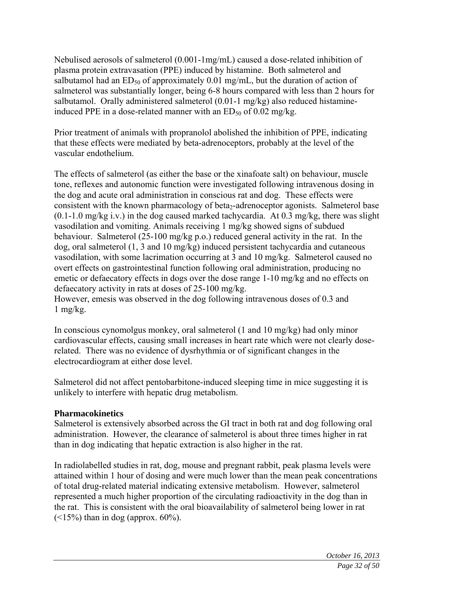Nebulised aerosols of salmeterol (0.001-1mg/mL) caused a dose-related inhibition of plasma protein extravasation (PPE) induced by histamine. Both salmeterol and salbutamol had an  $ED_{50}$  of approximately 0.01 mg/mL, but the duration of action of salmeterol was substantially longer, being 6-8 hours compared with less than 2 hours for salbutamol. Orally administered salmeterol (0.01-1 mg/kg) also reduced histamineinduced PPE in a dose-related manner with an  $ED_{50}$  of 0.02 mg/kg.

Prior treatment of animals with propranolol abolished the inhibition of PPE, indicating that these effects were mediated by beta-adrenoceptors, probably at the level of the vascular endothelium.

The effects of salmeterol (as either the base or the xinafoate salt) on behaviour, muscle tone, reflexes and autonomic function were investigated following intravenous dosing in the dog and acute oral administration in conscious rat and dog. These effects were consistent with the known pharmacology of beta<sub>2</sub>-adrenoceptor agonists. Salmeterol base  $(0.1-1.0 \text{ mg/kg} \text{ i.v.})$  in the dog caused marked tachycardia. At 0.3 mg/kg, there was slight vasodilation and vomiting. Animals receiving 1 mg/kg showed signs of subdued behaviour. Salmeterol (25-100 mg/kg p.o.) reduced general activity in the rat. In the dog, oral salmeterol (1, 3 and 10 mg/kg) induced persistent tachycardia and cutaneous vasodilation, with some lacrimation occurring at 3 and 10 mg/kg. Salmeterol caused no overt effects on gastrointestinal function following oral administration, producing no emetic or defaecatory effects in dogs over the dose range 1-10 mg/kg and no effects on defaecatory activity in rats at doses of 25-100 mg/kg.

However, emesis was observed in the dog following intravenous doses of 0.3 and 1 mg/ $kg$ .

In conscious cynomolgus monkey, oral salmeterol (1 and 10 mg/kg) had only minor cardiovascular effects, causing small increases in heart rate which were not clearly doserelated. There was no evidence of dysrhythmia or of significant changes in the electrocardiogram at either dose level.

Salmeterol did not affect pentobarbitone-induced sleeping time in mice suggesting it is unlikely to interfere with hepatic drug metabolism.

### **Pharmacokinetics**

Salmeterol is extensively absorbed across the GI tract in both rat and dog following oral administration. However, the clearance of salmeterol is about three times higher in rat than in dog indicating that hepatic extraction is also higher in the rat.

In radiolabelled studies in rat, dog, mouse and pregnant rabbit, peak plasma levels were attained within 1 hour of dosing and were much lower than the mean peak concentrations of total drug-related material indicating extensive metabolism. However, salmeterol represented a much higher proportion of the circulating radioactivity in the dog than in the rat. This is consistent with the oral bioavailability of salmeterol being lower in rat  $(\leq 15\%)$  than in dog (approx. 60%).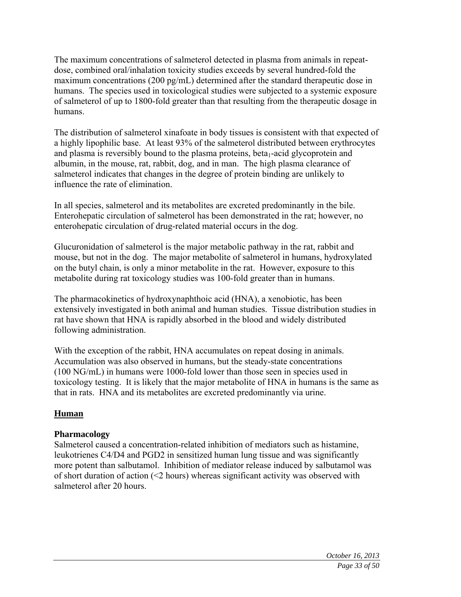The maximum concentrations of salmeterol detected in plasma from animals in repeatdose, combined oral/inhalation toxicity studies exceeds by several hundred-fold the maximum concentrations (200 pg/mL) determined after the standard therapeutic dose in humans. The species used in toxicological studies were subjected to a systemic exposure of salmeterol of up to 1800-fold greater than that resulting from the therapeutic dosage in humans.

The distribution of salmeterol xinafoate in body tissues is consistent with that expected of a highly lipophilic base. At least 93% of the salmeterol distributed between erythrocytes and plasma is reversibly bound to the plasma proteins, beta<sub>1</sub>-acid glycoprotein and albumin, in the mouse, rat, rabbit, dog, and in man. The high plasma clearance of salmeterol indicates that changes in the degree of protein binding are unlikely to influence the rate of elimination.

In all species, salmeterol and its metabolites are excreted predominantly in the bile. Enterohepatic circulation of salmeterol has been demonstrated in the rat; however, no enterohepatic circulation of drug-related material occurs in the dog.

Glucuronidation of salmeterol is the major metabolic pathway in the rat, rabbit and mouse, but not in the dog. The major metabolite of salmeterol in humans, hydroxylated on the butyl chain, is only a minor metabolite in the rat. However, exposure to this metabolite during rat toxicology studies was 100-fold greater than in humans.

The pharmacokinetics of hydroxynaphthoic acid (HNA), a xenobiotic, has been extensively investigated in both animal and human studies. Tissue distribution studies in rat have shown that HNA is rapidly absorbed in the blood and widely distributed following administration.

With the exception of the rabbit, HNA accumulates on repeat dosing in animals. Accumulation was also observed in humans, but the steady-state concentrations (100 NG/mL) in humans were 1000-fold lower than those seen in species used in toxicology testing. It is likely that the major metabolite of HNA in humans is the same as that in rats. HNA and its metabolites are excreted predominantly via urine.

### **Human**

### **Pharmacology**

Salmeterol caused a concentration-related inhibition of mediators such as histamine, leukotrienes C4/D4 and PGD2 in sensitized human lung tissue and was significantly more potent than salbutamol. Inhibition of mediator release induced by salbutamol was of short duration of action (<2 hours) whereas significant activity was observed with salmeterol after 20 hours.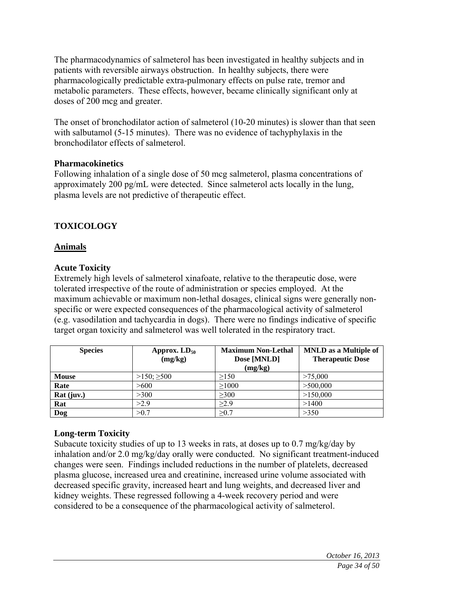The pharmacodynamics of salmeterol has been investigated in healthy subjects and in patients with reversible airways obstruction. In healthy subjects, there were pharmacologically predictable extra-pulmonary effects on pulse rate, tremor and metabolic parameters. These effects, however, became clinically significant only at doses of 200 mcg and greater.

The onset of bronchodilator action of salmeterol (10-20 minutes) is slower than that seen with salbutamol (5-15 minutes). There was no evidence of tachyphylaxis in the bronchodilator effects of salmeterol.

### **Pharmacokinetics**

Following inhalation of a single dose of 50 mcg salmeterol, plasma concentrations of approximately 200 pg/mL were detected. Since salmeterol acts locally in the lung, plasma levels are not predictive of therapeutic effect.

# **TOXICOLOGY**

### **Animals**

### **Acute Toxicity**

Extremely high levels of salmeterol xinafoate, relative to the therapeutic dose, were tolerated irrespective of the route of administration or species employed. At the maximum achievable or maximum non-lethal dosages, clinical signs were generally nonspecific or were expected consequences of the pharmacological activity of salmeterol (e.g. vasodilation and tachycardia in dogs). There were no findings indicative of specific target organ toxicity and salmeterol was well tolerated in the respiratory tract.

| <b>Species</b> | Approx. $LD_{50}$<br>(mg/kg) | <b>Maximum Non-Lethal</b><br>Dose [MNLD]<br>(mg/kg) | <b>MNLD</b> as a Multiple of<br><b>Therapeutic Dose</b> |
|----------------|------------------------------|-----------------------------------------------------|---------------------------------------------------------|
| <b>Mouse</b>   | $>150$ ; $\geq 500$          | >150                                                | >75,000                                                 |
| Rate           | >600                         | >1000                                               | >500,000                                                |
| Rat (juv.)     | >300                         | >300                                                | >150,000                                                |
| Rat            | >2.9                         | $\geq$ 2.9                                          | >1400                                                   |
| Dog            | >0.7                         | >0.7                                                | >350                                                    |

### **Long-term Toxicity**

Subacute toxicity studies of up to 13 weeks in rats, at doses up to 0.7 mg/kg/day by inhalation and/or 2.0 mg/kg/day orally were conducted. No significant treatment-induced changes were seen. Findings included reductions in the number of platelets, decreased plasma glucose, increased urea and creatinine, increased urine volume associated with decreased specific gravity, increased heart and lung weights, and decreased liver and kidney weights. These regressed following a 4-week recovery period and were considered to be a consequence of the pharmacological activity of salmeterol.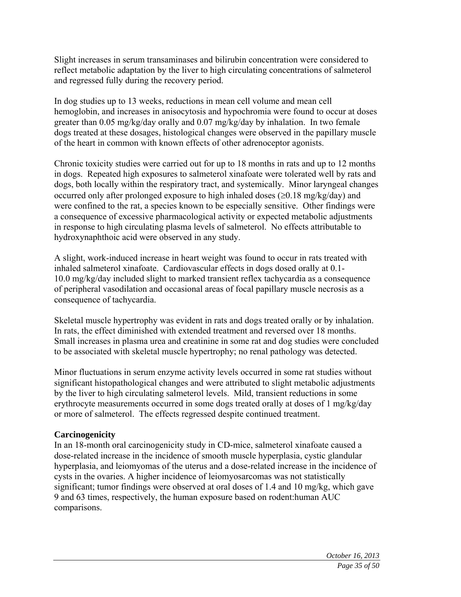Slight increases in serum transaminases and bilirubin concentration were considered to reflect metabolic adaptation by the liver to high circulating concentrations of salmeterol and regressed fully during the recovery period.

In dog studies up to 13 weeks, reductions in mean cell volume and mean cell hemoglobin, and increases in anisocytosis and hypochromia were found to occur at doses greater than 0.05 mg/kg/day orally and 0.07 mg/kg/day by inhalation. In two female dogs treated at these dosages, histological changes were observed in the papillary muscle of the heart in common with known effects of other adrenoceptor agonists.

Chronic toxicity studies were carried out for up to 18 months in rats and up to 12 months in dogs. Repeated high exposures to salmeterol xinafoate were tolerated well by rats and dogs, both locally within the respiratory tract, and systemically. Minor laryngeal changes occurred only after prolonged exposure to high inhaled doses  $(\geq 0.18 \text{ mg/kg/day})$  and were confined to the rat, a species known to be especially sensitive. Other findings were a consequence of excessive pharmacological activity or expected metabolic adjustments in response to high circulating plasma levels of salmeterol. No effects attributable to hydroxynaphthoic acid were observed in any study.

A slight, work-induced increase in heart weight was found to occur in rats treated with inhaled salmeterol xinafoate. Cardiovascular effects in dogs dosed orally at 0.1- 10.0 mg/kg/day included slight to marked transient reflex tachycardia as a consequence of peripheral vasodilation and occasional areas of focal papillary muscle necrosis as a consequence of tachycardia.

Skeletal muscle hypertrophy was evident in rats and dogs treated orally or by inhalation. In rats, the effect diminished with extended treatment and reversed over 18 months. Small increases in plasma urea and creatinine in some rat and dog studies were concluded to be associated with skeletal muscle hypertrophy; no renal pathology was detected.

Minor fluctuations in serum enzyme activity levels occurred in some rat studies without significant histopathological changes and were attributed to slight metabolic adjustments by the liver to high circulating salmeterol levels. Mild, transient reductions in some erythrocyte measurements occurred in some dogs treated orally at doses of 1 mg/kg/day or more of salmeterol. The effects regressed despite continued treatment.

### **Carcinogenicity**

In an 18-month oral carcinogenicity study in CD-mice, salmeterol xinafoate caused a dose-related increase in the incidence of smooth muscle hyperplasia, cystic glandular hyperplasia, and leiomyomas of the uterus and a dose-related increase in the incidence of cysts in the ovaries. A higher incidence of leiomyosarcomas was not statistically significant; tumor findings were observed at oral doses of 1.4 and 10 mg/kg, which gave 9 and 63 times, respectively, the human exposure based on rodent:human AUC comparisons.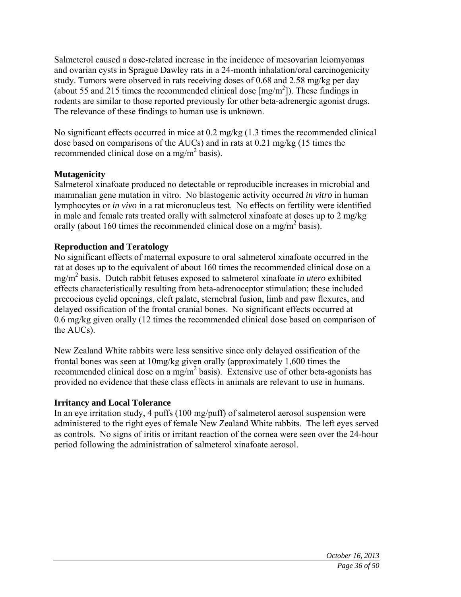Salmeterol caused a dose-related increase in the incidence of mesovarian leiomyomas and ovarian cysts in Sprague Dawley rats in a 24-month inhalation/oral carcinogenicity study. Tumors were observed in rats receiving doses of 0.68 and 2.58 mg/kg per day (about 55 and 215 times the recommended clinical dose  $[mg/m<sup>2</sup>]$ ). These findings in rodents are similar to those reported previously for other beta-adrenergic agonist drugs. The relevance of these findings to human use is unknown.

No significant effects occurred in mice at 0.2 mg/kg (1.3 times the recommended clinical dose based on comparisons of the AUCs) and in rats at 0.21 mg/kg (15 times the recommended clinical dose on a mg/m<sup>2</sup> basis).

### **Mutagenicity**

Salmeterol xinafoate produced no detectable or reproducible increases in microbial and mammalian gene mutation in vitro. No blastogenic activity occurred *in vitro* in human lymphocytes or *in vivo* in a rat micronucleus test. No effects on fertility were identified in male and female rats treated orally with salmeterol xinafoate at doses up to 2 mg/kg orally (about 160 times the recommended clinical dose on a mg/m<sup>2</sup> basis).

### **Reproduction and Teratology**

No significant effects of maternal exposure to oral salmeterol xinafoate occurred in the rat at doses up to the equivalent of about 160 times the recommended clinical dose on a mg/m2 basis. Dutch rabbit fetuses exposed to salmeterol xinafoate *in utero* exhibited effects characteristically resulting from beta-adrenoceptor stimulation; these included precocious eyelid openings, cleft palate, sternebral fusion, limb and paw flexures, and delayed ossification of the frontal cranial bones. No significant effects occurred at 0.6 mg/kg given orally (12 times the recommended clinical dose based on comparison of the AUCs).

New Zealand White rabbits were less sensitive since only delayed ossification of the frontal bones was seen at 10mg/kg given orally (approximately 1,600 times the recommended clinical dose on a mg/m<sup>2</sup> basis). Extensive use of other beta-agonists has provided no evidence that these class effects in animals are relevant to use in humans.

### **Irritancy and Local Tolerance**

In an eye irritation study, 4 puffs (100 mg/puff) of salmeterol aerosol suspension were administered to the right eyes of female New Zealand White rabbits. The left eyes served as controls. No signs of iritis or irritant reaction of the cornea were seen over the 24-hour period following the administration of salmeterol xinafoate aerosol.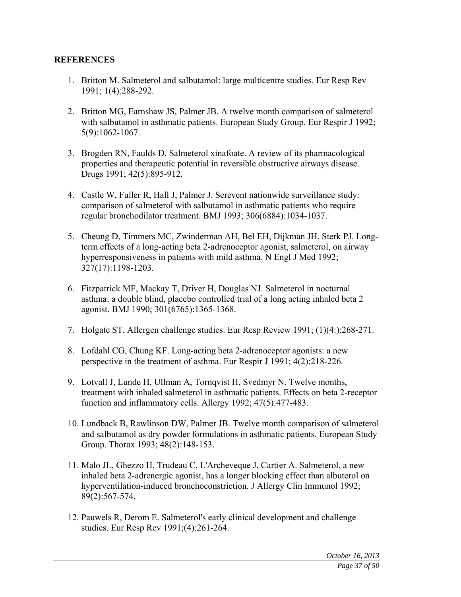#### **REFERENCES**

- 1. Britton M. Salmeterol and salbutamol: large multicentre studies. Eur Resp Rev 1991; 1(4):288-292.
- 2. Britton MG, Earnshaw JS, Palmer JB. A twelve month comparison of salmeterol with salbutamol in asthmatic patients. European Study Group. Eur Respir J 1992; 5(9):1062-1067.
- 3. Brogden RN, Faulds D. Salmeterol xinafoate. A review of its pharmacological properties and therapeutic potential in reversible obstructive airways disease. Drugs 1991; 42(5):895-912.
- 4. Castle W, Fuller R, Hall J, Palmer J. Serevent nationwide surveillance study: comparison of salmeterol with salbutamol in asthmatic patients who require regular bronchodilator treatment. BMJ 1993; 306(6884):1034-1037.
- 5. Cheung D, Timmers MC, Zwinderman AH, Bel EH, Dijkman JH, Sterk PJ. Longterm effects of a long-acting beta 2-adrenoceptor agonist, salmeterol, on airway hyperresponsiveness in patients with mild asthma. N Engl J Med 1992; 327(17):1198-1203.
- 6. Fitzpatrick MF, Mackay T, Driver H, Douglas NJ. Salmeterol in nocturnal asthma: a double blind, placebo controlled trial of a long acting inhaled beta 2 agonist. BMJ 1990; 301(6765):1365-1368.
- 7. Holgate ST. Allergen challenge studies. Eur Resp Review 1991; (1)(4:):268-271.
- 8. Lofdahl CG, Chung KF. Long-acting beta 2-adrenoceptor agonists: a new perspective in the treatment of asthma. Eur Respir J 1991; 4(2):218-226.
- 9. Lotvall J, Lunde H, Ullman A, Tornqvist H, Svedmyr N. Twelve months, treatment with inhaled salmeterol in asthmatic patients. Effects on beta 2-receptor function and inflammatory cells. Allergy 1992; 47(5):477-483.
- 10. Lundback B, Rawlinson DW, Palmer JB. Twelve month comparison of salmeterol and salbutamol as dry powder formulations in asthmatic patients. European Study Group. Thorax 1993; 48(2):148-153.
- 11. Malo JL, Ghezzo H, Trudeau C, L'Archeveque J, Cartier A. Salmeterol, a new inhaled beta 2-adrenergic agonist, has a longer blocking effect than albuterol on hyperventilation-induced bronchoconstriction. J Allergy Clin Immunol 1992; 89(2):567-574.
- 12. Pauwels R, Derom E. Salmeterol's early clinical development and challenge studies. Eur Resp Rev 1991;(4):261-264.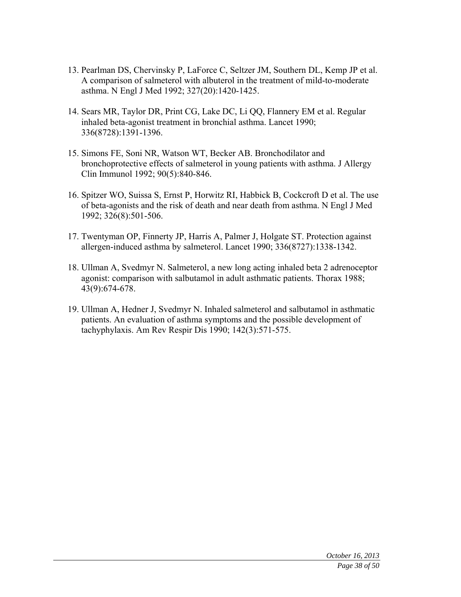- 13. Pearlman DS, Chervinsky P, LaForce C, Seltzer JM, Southern DL, Kemp JP et al. A comparison of salmeterol with albuterol in the treatment of mild-to-moderate asthma. N Engl J Med 1992; 327(20):1420-1425.
- 14. Sears MR, Taylor DR, Print CG, Lake DC, Li QQ, Flannery EM et al. Regular inhaled beta-agonist treatment in bronchial asthma. Lancet 1990; 336(8728):1391-1396.
- 15. Simons FE, Soni NR, Watson WT, Becker AB. Bronchodilator and bronchoprotective effects of salmeterol in young patients with asthma. J Allergy Clin Immunol 1992; 90(5):840-846.
- 16. Spitzer WO, Suissa S, Ernst P, Horwitz RI, Habbick B, Cockcroft D et al. The use of beta-agonists and the risk of death and near death from asthma. N Engl J Med 1992; 326(8):501-506.
- 17. Twentyman OP, Finnerty JP, Harris A, Palmer J, Holgate ST. Protection against allergen-induced asthma by salmeterol. Lancet 1990; 336(8727):1338-1342.
- 18. Ullman A, Svedmyr N. Salmeterol, a new long acting inhaled beta 2 adrenoceptor agonist: comparison with salbutamol in adult asthmatic patients. Thorax 1988; 43(9):674-678.
- 19. Ullman A, Hedner J, Svedmyr N. Inhaled salmeterol and salbutamol in asthmatic patients. An evaluation of asthma symptoms and the possible development of tachyphylaxis. Am Rev Respir Dis 1990; 142(3):571-575.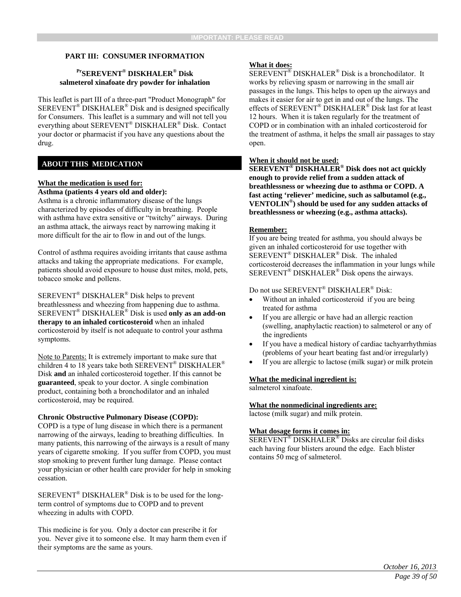#### **PART III: CONSUMER INFORMATION**

#### **PrSEREVENT® DISKHALER® Disk salmeterol xinafoate dry powder for inhalation**

This leaflet is part III of a three-part "Product Monograph" for SEREVENT® DISKHALER® Disk and is designed specifically for Consumers. This leaflet is a summary and will not tell you everything about SEREVENT® DISKHALER® Disk. Contact your doctor or pharmacist if you have any questions about the drug.

#### **ABOUT THIS MEDICATION**

#### **What the medication is used for: Asthma (patients 4 years old and older):**

Asthma is a chronic inflammatory disease of the lungs characterized by episodes of difficulty in breathing. People with asthma have extra sensitive or "twitchy" airways. During an asthma attack, the airways react by narrowing making it more difficult for the air to flow in and out of the lungs.

Control of asthma requires avoiding irritants that cause asthma attacks and taking the appropriate medications. For example, patients should avoid exposure to house dust mites, mold, pets, tobacco smoke and pollens.

SEREVENT® DISKHALER® Disk helps to prevent breathlessness and wheezing from happening due to asthma. SEREVENT® DISKHALER® Disk is used **only as an add-on therapy to an inhaled corticosteroid** when an inhaled corticosteroid by itself is not adequate to control your asthma symptoms.

Note to Parents: It is extremely important to make sure that children 4 to 18 years take both SEREVENT® DISKHALER® Disk **and** an inhaled corticosteroid together. If this cannot be **guaranteed**, speak to your doctor. A single combination product, containing both a bronchodilator and an inhaled corticosteroid, may be required.

#### **Chronic Obstructive Pulmonary Disease (COPD):**

COPD is a type of lung disease in which there is a permanent narrowing of the airways, leading to breathing difficulties. In many patients, this narrowing of the airways is a result of many years of cigarette smoking. If you suffer from COPD, you must stop smoking to prevent further lung damage. Please contact your physician or other health care provider for help in smoking cessation.

 $SEREVENT^{\circledR}$  DISKHALER<sup>®</sup> Disk is to be used for the longterm control of symptoms due to COPD and to prevent wheezing in adults with COPD.

This medicine is for you. Only a doctor can prescribe it for you. Never give it to someone else. It may harm them even if their symptoms are the same as yours.

#### **What it does:**

SEREVENT® DISKHALER® Disk is a bronchodilator. It works by relieving spasm or narrowing in the small air passages in the lungs. This helps to open up the airways and makes it easier for air to get in and out of the lungs. The effects of SEREVENT® DISKHALER® Disk last for at least 12 hours. When it is taken regularly for the treatment of COPD or in combination with an inhaled corticosteroid for the treatment of asthma, it helps the small air passages to stay open.

#### **When it should not be used:**

**SEREVENT***®* **DISKHALER® Disk does not act quickly enough to provide relief from a sudden attack of breathlessness or wheezing due to asthma or COPD. A fast acting 'reliever' medicine, such as salbutamol (e.g., VENTOLIN®) should be used for any sudden attacks of breathlessness or wheezing (e.g., asthma attacks).** 

#### **Remember:**

If you are being treated for asthma, you should always be given an inhaled corticosteroid for use together with SEREVENT® DISKHALER® Disk. The inhaled corticosteroid decreases the inflammation in your lungs while SEREVENT® DISKHALER® Disk opens the airways.

#### Do not use SEREVENT® DISKHALER® Disk:

- Without an inhaled corticosteroid if you are being treated for asthma
- If you are allergic or have had an allergic reaction (swelling, anaphylactic reaction) to salmeterol or any of the ingredients
- If you have a medical history of cardiac tachyarrhythmias (problems of your heart beating fast and/or irregularly)
- If you are allergic to lactose (milk sugar) or milk protein

#### **What the medicinal ingredient is:**

salmeterol xinafoate.

#### **What the nonmedicinal ingredients are:**

lactose (milk sugar) and milk protein.

#### **What dosage forms it comes in:**

SEREVENT® DISKHALER® Disks are circular foil disks each having four blisters around the edge. Each blister contains 50 mcg of salmeterol.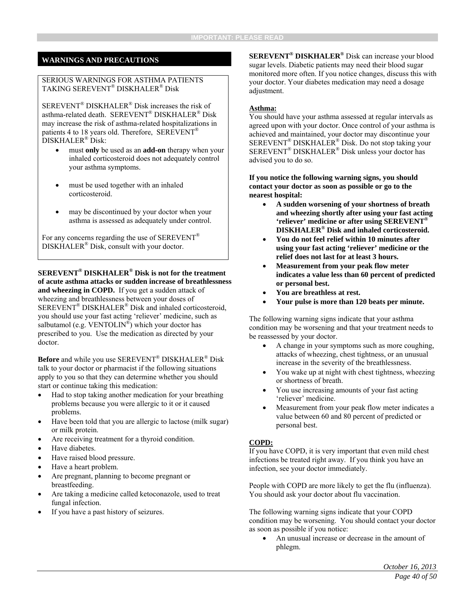#### **WARNINGS AND PRECAUTIONS**

#### SERIOUS WARNINGS FOR ASTHMA PATIENTS TAKING SEREVENT® DISKHALER® Disk

SEREVENT® DISKHALER® Disk increases the risk of asthma-related death. SEREVENT® DISKHALER® Disk may increase the risk of asthma-related hospitalizations in patients 4 to 18 years old. Therefore, SEREVENT<sup>®</sup> DISKHALER® Disk:

- must **only** be used as an **add-on** therapy when your inhaled corticosteroid does not adequately control your asthma symptoms.
- must be used together with an inhaled corticosteroid.
- may be discontinued by your doctor when your asthma is assessed as adequately under control.

For any concerns regarding the use of SEREVENT<sup>®</sup> DISKHALER® Disk, consult with your doctor.

**SEREVENT® DISKHALER® Disk is not for the treatment of acute asthma attacks or sudden increase of breathlessness and wheezing in COPD.** If you get a sudden attack of wheezing and breathlessness between your doses of SEREVENT® DISKHALER® Disk and inhaled corticosteroid, you should use your fast acting 'reliever' medicine, such as salbutamol (e.g. VENTOLIN<sup>®</sup>) which your doctor has prescribed to you. Use the medication as directed by your doctor.

**Before** and while you use SEREVENT® DISKHALER® Disk talk to your doctor or pharmacist if the following situations apply to you so that they can determine whether you should start or continue taking this medication:

- Had to stop taking another medication for your breathing problems because you were allergic to it or it caused problems.
- Have been told that you are allergic to lactose (milk sugar) or milk protein.
- Are receiving treatment for a thyroid condition.
- Have diabetes.
- Have raised blood pressure.
- Have a heart problem.
- Are pregnant, planning to become pregnant or breastfeeding.
- Are taking a medicine called ketoconazole, used to treat fungal infection.
- If you have a past history of seizures.

**SEREVENT® DISKHALER®** Disk can increase your blood sugar levels. Diabetic patients may need their blood sugar monitored more often. If you notice changes, discuss this with your doctor. Your diabetes medication may need a dosage adjustment.

#### **Asthma:**

You should have your asthma assessed at regular intervals as agreed upon with your doctor. Once control of your asthma is achieved and maintained, your doctor may discontinue your SEREVENT® DISKHALER® Disk. Do not stop taking your SEREVENT® DISKHALER® Disk unless your doctor has advised you to do so.

**If you notice the following warning signs, you should contact your doctor as soon as possible or go to the nearest hospital:** 

- **A sudden worsening of your shortness of breath and wheezing shortly after using your fast acting 'reliever' medicine or after using SEREVENT***®*  **DISKHALER® Disk and inhaled corticosteroid.**
- **You do not feel relief within 10 minutes after using your fast acting 'reliever' medicine or the relief does not last for at least 3 hours.**
- **Measurement from your peak flow meter indicates a value less than 60 percent of predicted or personal best.**
- **You are breathless at rest.**
- **Your pulse is more than 120 beats per minute.**

The following warning signs indicate that your asthma condition may be worsening and that your treatment needs to be reassessed by your doctor.

- A change in your symptoms such as more coughing, attacks of wheezing, chest tightness, or an unusual increase in the severity of the breathlessness.
- You wake up at night with chest tightness, wheezing or shortness of breath.
- You use increasing amounts of your fast acting 'reliever' medicine.
- Measurement from your peak flow meter indicates a value between 60 and 80 percent of predicted or personal best.

#### **COPD:**

If you have COPD, it is very important that even mild chest infections be treated right away. If you think you have an infection, see your doctor immediately.

People with COPD are more likely to get the flu (influenza). You should ask your doctor about flu vaccination.

The following warning signs indicate that your COPD condition may be worsening. You should contact your doctor as soon as possible if you notice:

 An unusual increase or decrease in the amount of phlegm.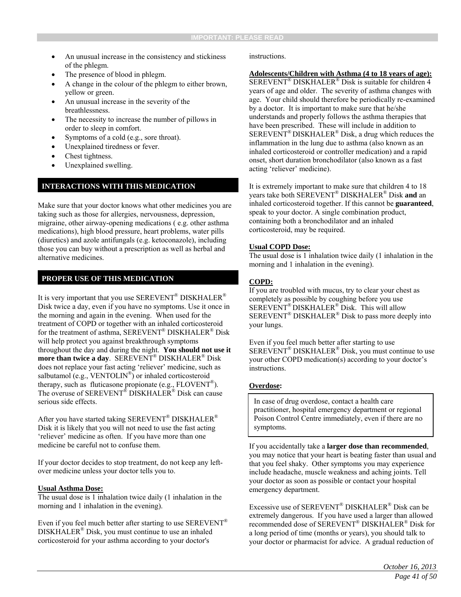- An unusual increase in the consistency and stickiness of the phlegm.
- The presence of blood in phlegm.
- A change in the colour of the phlegm to either brown, yellow or green.
- An unusual increase in the severity of the breathlessness.
- The necessity to increase the number of pillows in order to sleep in comfort.
- Symptoms of a cold (e.g., sore throat).
- Unexplained tiredness or fever.
- Chest tightness.
- Unexplained swelling.

#### **INTERACTIONS WITH THIS MEDICATION**

Make sure that your doctor knows what other medicines you are taking such as those for allergies, nervousness, depression, migraine, other airway-opening medications ( e.g. other asthma medications), high blood pressure, heart problems, water pills (diuretics) and azole antifungals (e.g. ketoconazole), including those you can buy without a prescription as well as herbal and alternative medicines.

#### **PROPER USE OF THIS MEDICATION**

It is very important that you use SEREVENT® DISKHALER® Disk twice a day, even if you have no symptoms. Use it once in the morning and again in the evening. When used for the treatment of COPD or together with an inhaled corticosteroid for the treatment of asthma, SEREVENT® DISKHALER® Disk will help protect you against breakthrough symptoms throughout the day and during the night. **You should not use it more than twice a day**. SEREVENT® DISKHALER® Disk does not replace your fast acting 'reliever' medicine, such as salbutamol (e.g., VENTOLIN<sup>®</sup>) or inhaled corticosteroid therapy, such as fluticasone propionate (e.g., FLOVENT®). The overuse of SEREVENT<sup>®</sup> DISKHALER<sup>®</sup> Disk can cause serious side effects.

After you have started taking SEREVENT® DISKHALER® Disk it is likely that you will not need to use the fast acting 'reliever' medicine as often. If you have more than one medicine be careful not to confuse them.

If your doctor decides to stop treatment, do not keep any leftover medicine unless your doctor tells you to.

#### **Usual Asthma Dose:**

The usual dose is 1 inhalation twice daily (1 inhalation in the morning and 1 inhalation in the evening).

Even if you feel much better after starting to use SEREVENT<sup>®</sup> DISKHALER® Disk, you must continue to use an inhaled corticosteroid for your asthma according to your doctor's

instructions.

#### **Adolescents/Children with Asthma (4 to 18 years of age):**

SEREVENT® DISKHALER® Disk is suitable for children 4 years of age and older. The severity of asthma changes with age. Your child should therefore be periodically re-examined by a doctor. It is important to make sure that he/she understands and properly follows the asthma therapies that have been prescribed. These will include in addition to SEREVENT® DISKHALER® Disk, a drug which reduces the inflammation in the lung due to asthma (also known as an inhaled corticosteroid or controller medication) and a rapid onset, short duration bronchodilator (also known as a fast acting 'reliever' medicine).

It is extremely important to make sure that children 4 to 18 years take both SEREVENT® DISKHALER® Disk **and** an inhaled corticosteroid together. If this cannot be **guaranteed**, speak to your doctor. A single combination product, containing both a bronchodilator and an inhaled corticosteroid, may be required.

#### **Usual COPD Dose:**

The usual dose is 1 inhalation twice daily (1 inhalation in the morning and 1 inhalation in the evening).

#### **COPD:**

If you are troubled with mucus, try to clear your chest as completely as possible by coughing before you use SEREVENT® DISKHALER® Disk. This will allow  $SEREVENT^{\circledR} DISKHALER^{\circledR}$  Disk to pass more deeply into your lungs.

Even if you feel much better after starting to use SEREVENT® DISKHALER® Disk, you must continue to use your other COPD medication(s) according to your doctor's instructions.

#### **Overdose:**

In case of drug overdose, contact a health care practitioner, hospital emergency department or regional Poison Control Centre immediately, even if there are no symptoms.

If you accidentally take a **larger dose than recommended**, you may notice that your heart is beating faster than usual and that you feel shaky. Other symptoms you may experience include headache, muscle weakness and aching joints. Tell your doctor as soon as possible or contact your hospital emergency department.

Excessive use of SEREVENT® DISKHALER® Disk can be extremely dangerous. If you have used a larger than allowed recommended dose of SEREVENT® DISKHALER® Disk for a long period of time (months or years), you should talk to your doctor or pharmacist for advice. A gradual reduction of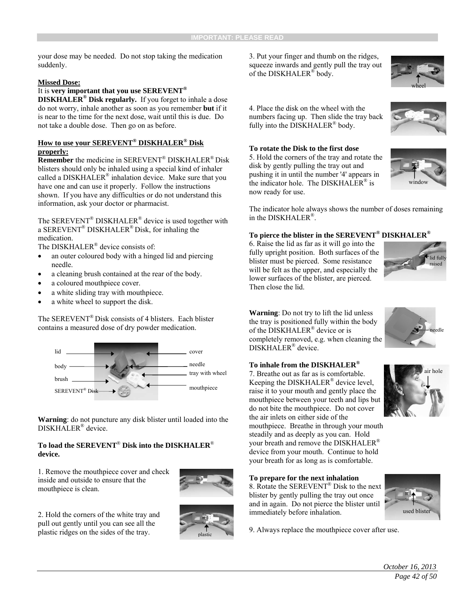your dose may be needed. Do not stop taking the medication suddenly.

#### **Missed Dose:**

#### It is **very important that you use SEREVENT®**

**DISKHALER® Disk regularly.** If you forget to inhale a dose do not worry, inhale another as soon as you remember **but** if it is near to the time for the next dose, wait until this is due. Do not take a double dose. Then go on as before.

#### **How to use your SEREVENT® DISKHALER® Disk properly:**

**Remember** the medicine in SEREVENT® DISKHALER® Disk blisters should only be inhaled using a special kind of inhaler called a DISKHALER® inhalation device. Make sure that you have one and can use it properly. Follow the instructions shown. If you have any difficulties or do not understand this information, ask your doctor or pharmacist.

The SEREVENT® DISKHALER® device is used together with a SEREVENT® DISKHALER® Disk, for inhaling the medication.

The DISKHALER<sup>®</sup> device consists of:

- an outer coloured body with a hinged lid and piercing needle.
- a cleaning brush contained at the rear of the body.
- a coloured mouthpiece cover.
- a white sliding tray with mouthpiece.
- a white wheel to support the disk.

The SEREVENT® Disk consists of 4 blisters. Each blister contains a measured dose of dry powder medication.



**Warning**: do not puncture any disk blister until loaded into the DISKHALER® device.

#### **To load the SEREVENT**® **Disk into the DISKHALER**® **device.**

1. Remove the mouthpiece cover and check inside and outside to ensure that the mouthpiece is clean.



2. Hold the corners of the white tray and pull out gently until you can see all the plastic ridges on the sides of the tray.



3. Put your finger and thumb on the ridges, squeeze inwards and gently pull the tray out of the DISKHALER® body.

4. Place the disk on the wheel with the numbers facing up. Then slide the tray back fully into the DISKHALER® body.



5. Hold the corners of the tray and rotate the disk by gently pulling the tray out and pushing it in until the number '4' appears in the indicator hole. The DISKHALER<sup>®</sup> is now ready for use.



wheel



The indicator hole always shows the number of doses remaining in the DISKHALER®.

#### **To pierce the blister in the SEREVENT® DISKHALER®**

6. Raise the lid as far as it will go into the fully upright position. Both surfaces of the blister must be pierced. Some resistance will be felt as the upper, and especially the lower surfaces of the blister, are pierced. Then close the lid.



**Warning**: Do not try to lift the lid unless the tray is positioned fully within the body of the DISKHALER® device or is completely removed, e.g. when cleaning the DISKHALER® device.

#### **To inhale from the DISKHALER®**

7. Breathe out as far as is comfortable. Keeping the DISKHALER® device level, raise it to your mouth and gently place the mouthpiece between your teeth and lips but do not bite the mouthpiece. Do not cover the air inlets on either side of the mouthpiece. Breathe in through your mouth steadily and as deeply as you can. Hold your breath and remove the DISKHALER® device from your mouth. Continue to hold your breath for as long as is comfortable.

#### **To prepare for the next inhalation**

8. Rotate the SEREVENT® Disk to the next blister by gently pulling the tray out once and in again. Do not pierce the blister until immediately before inhalation.





needle

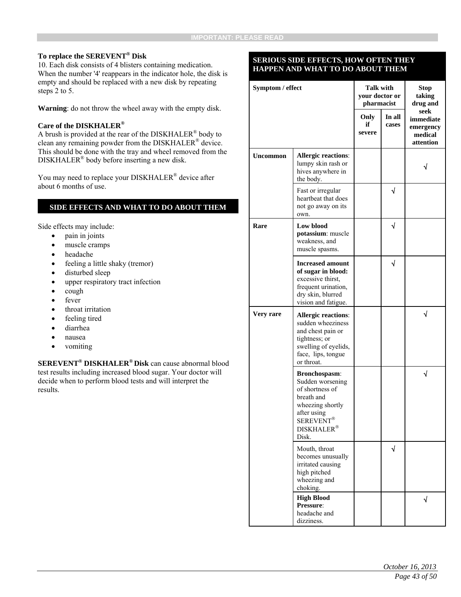#### **To replace the SEREVENT® Disk**

10. Each disk consists of 4 blisters containing medication. When the number '4' reappears in the indicator hole, the disk is empty and should be replaced with a new disk by repeating steps 2 to 5.

**Warning**: do not throw the wheel away with the empty disk.

#### **Care of the DISKHALER®**

A brush is provided at the rear of the DISKHALER® body to clean any remaining powder from the DISKHALER® device. This should be done with the tray and wheel removed from the DISKHALER® body before inserting a new disk.

You may need to replace your DISKHALER<sup>®</sup> device after about 6 months of use.

#### **SIDE EFFECTS AND WHAT TO DO ABOUT THEM**

Side effects may include:

- pain in joints
- muscle cramps
- headache
- feeling a little shaky (tremor)
- disturbed sleep
- upper respiratory tract infection
- $\bullet$  cough
- fever
- throat irritation
- feeling tired
- diarrhea
- nausea
- vomiting

**SEREVENT® DISKHALER® Disk** can cause abnormal blood test results including increased blood sugar. Your doctor will decide when to perform blood tests and will interpret the results.

#### **SERIOUS SIDE EFFECTS, HOW OFTEN THEY HAPPEN AND WHAT TO DO ABOUT THEM**

| Symptom / effect |                                                                                                                                                                    | <b>Talk with</b><br>your doctor or<br>pharmacist |                 | <b>Stop</b><br>taking<br>drug and                      |
|------------------|--------------------------------------------------------------------------------------------------------------------------------------------------------------------|--------------------------------------------------|-----------------|--------------------------------------------------------|
|                  |                                                                                                                                                                    | Only<br>if<br>severe                             | In all<br>cases | seek<br>immediate<br>emergency<br>medical<br>attention |
| <b>Uncommon</b>  | <b>Allergic reactions:</b><br>lumpy skin rash or<br>hives anywhere in<br>the body.                                                                                 |                                                  |                 |                                                        |
|                  | Fast or irregular<br>heartbeat that does<br>not go away on its<br>own.                                                                                             |                                                  | √               |                                                        |
| Rare             | Low blood<br>potassium: muscle<br>weakness, and<br>muscle spasms.                                                                                                  |                                                  | √               |                                                        |
|                  | <b>Increased amount</b><br>of sugar in blood:<br>excessive thirst,<br>frequent urination,<br>dry skin, blurred<br>vision and fatigue.                              |                                                  | √               |                                                        |
| Very rare        | <b>Allergic reactions:</b><br>sudden wheeziness<br>and chest pain or<br>tightness; or<br>swelling of eyelids,<br>face, lips, tongue<br>or throat.                  |                                                  |                 | √                                                      |
|                  | Bronchospasm:<br>Sudden worsening<br>of shortness of<br>breath and<br>wheezing shortly<br>after using<br><b>SEREVENT<sup>®</sup></b><br><b>DISKHALER®</b><br>Disk. |                                                  |                 | √                                                      |
|                  | Mouth, throat<br>becomes unusually<br>irritated causing<br>high pitched<br>wheezing and<br>choking.                                                                |                                                  | √               |                                                        |
|                  | <b>High Blood</b><br>Pressure:<br>headache and<br>dizziness.                                                                                                       |                                                  |                 |                                                        |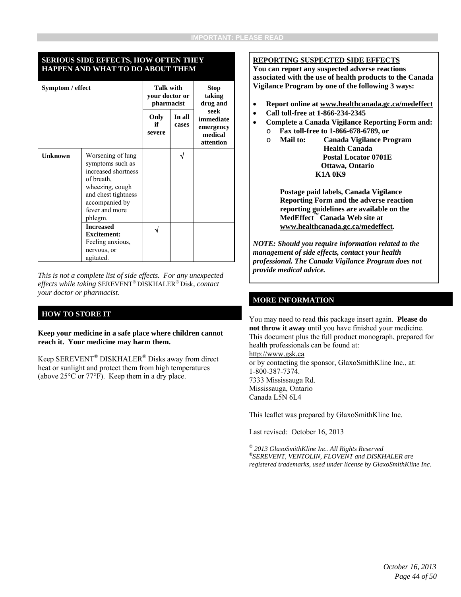#### **SERIOUS SIDE EFFECTS, HOW OFTEN THEY HAPPEN AND WHAT TO DO ABOUT THEM**

| Symptom / effect |                                                                                                                                                                     | <b>Talk with</b><br>your doctor or<br>pharmacist |                 | Stop<br>taking<br>drug and                             |
|------------------|---------------------------------------------------------------------------------------------------------------------------------------------------------------------|--------------------------------------------------|-----------------|--------------------------------------------------------|
|                  |                                                                                                                                                                     | Only<br>if<br>severe                             | In all<br>cases | seek<br>immediate<br>emergency<br>medical<br>attention |
| <b>Unknown</b>   | Worsening of lung<br>symptoms such as<br>increased shortness<br>of breath.<br>wheezing, cough<br>and chest tightness<br>accompanied by<br>fever and more<br>phlegm. |                                                  | √               |                                                        |
|                  | <b>Increased</b><br><b>Excitement:</b><br>Feeling anxious,<br>nervous, or<br>agitated.                                                                              |                                                  |                 |                                                        |

*This is not a complete list of side effects. For any unexpected effects while taking SEREVENT® DISKHALER® Disk, contact your doctor or pharmacist.* 

#### **HOW TO STORE IT**

**Keep your medicine in a safe place where children cannot reach it. Your medicine may harm them.** 

Keep SEREVENT® DISKHALER® Disks away from direct heat or sunlight and protect them from high temperatures (above 25°C or 77°F). Keep them in a dry place.

#### **REPORTING SUSPECTED SIDE EFFECTS**

**You can report any suspected adverse reactions associated with the use of health products to the Canada Vigilance Program by one of the following 3 ways:** 

- **Report online at www.healthcanada.gc.ca/medeffect**
- **Call toll-free at 1-866-234-2345**
- **Complete a Canada Vigilance Reporting Form and:**  o **Fax toll-free to 1-866-678-6789, or** 
	- o **Mail to: Canada Vigilance Program Health Canada Postal Locator 0701E Ottawa, Ontario K1A 0K9**

**Postage paid labels, Canada Vigilance Reporting Form and the adverse reaction reporting guidelines are available on the MedEffect™ Canada Web site at www.healthcanada.gc.ca/medeffect.** 

*NOTE: Should you require information related to the management of side effects, contact your health professional. The Canada Vigilance Program does not provide medical advice.*

#### **MORE INFORMATION**

You may need to read this package insert again. **Please do not throw it away** until you have finished your medicine. This document plus the full product monograph, prepared for health professionals can be found at:

http://www.gsk.ca or by contacting the sponsor, GlaxoSmithKline Inc., at: 1-800-387-7374. 7333 Mississauga Rd. Mississauga, Ontario Canada L5N 6L4

This leaflet was prepared by GlaxoSmithKline Inc.

Last revised: October 16, 2013

*© 2013 GlaxoSmithKline Inc. All Rights Reserved ®SEREVENT, VENTOLIN, FLOVENT and DISKHALER are registered trademarks, used under license by GlaxoSmithKline Inc.*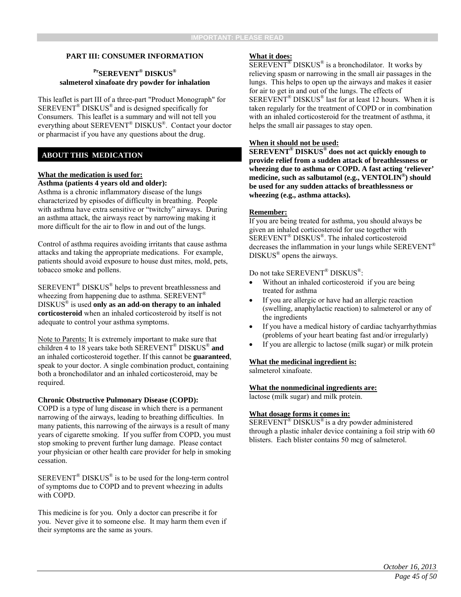#### **PART III: CONSUMER INFORMATION**

#### **PrSEREVENT® DISKUS® salmeterol xinafoate dry powder for inhalation**

This leaflet is part III of a three-part "Product Monograph" for SEREVENT® DISKUS® and is designed specifically for Consumers. This leaflet is a summary and will not tell you everything about SEREVENT® DISKUS®. Contact your doctor or pharmacist if you have any questions about the drug.

#### **ABOUT THIS MEDICATION**

#### **What the medication is used for:**

#### **Asthma (patients 4 years old and older):**

Asthma is a chronic inflammatory disease of the lungs characterized by episodes of difficulty in breathing. People with asthma have extra sensitive or "twitchy" airways. During an asthma attack, the airways react by narrowing making it more difficult for the air to flow in and out of the lungs.

Control of asthma requires avoiding irritants that cause asthma attacks and taking the appropriate medications. For example, patients should avoid exposure to house dust mites, mold, pets, tobacco smoke and pollens.

SEREVENT® DISKUS® helps to prevent breathlessness and wheezing from happening due to asthma. SEREVENT<sup>®</sup> DISKUS® is used **only as an add-on therapy to an inhaled corticosteroid** when an inhaled corticosteroid by itself is not adequate to control your asthma symptoms.

Note to Parents: It is extremely important to make sure that children 4 to 18 years take both SEREVENT® DISKUS® **and** an inhaled corticosteroid together. If this cannot be **guaranteed**, speak to your doctor. A single combination product, containing both a bronchodilator and an inhaled corticosteroid, may be required.

#### **Chronic Obstructive Pulmonary Disease (COPD):**

COPD is a type of lung disease in which there is a permanent narrowing of the airways, leading to breathing difficulties. In many patients, this narrowing of the airways is a result of many years of cigarette smoking. If you suffer from COPD, you must stop smoking to prevent further lung damage. Please contact your physician or other health care provider for help in smoking cessation.

SEREVENT® DISKUS® is to be used for the long-term control of symptoms due to COPD and to prevent wheezing in adults with COPD.

This medicine is for you. Only a doctor can prescribe it for you. Never give it to someone else. It may harm them even if their symptoms are the same as yours.

#### **What it does:**

 $\overline{\text{SEREVENT}^{\circledast}}$  DISKUS<sup>®</sup> is a bronchodilator. It works by relieving spasm or narrowing in the small air passages in the lungs. This helps to open up the airways and makes it easier for air to get in and out of the lungs. The effects of SEREVENT® DISKUS® last for at least 12 hours. When it is taken regularly for the treatment of COPD or in combination with an inhaled corticosteroid for the treatment of asthma, it helps the small air passages to stay open.

#### **When it should not be used:**

**SEREVENT***®* **DISKUS® does not act quickly enough to provide relief from a sudden attack of breathlessness or wheezing due to asthma or COPD. A fast acting 'reliever' medicine, such as salbutamol (e.g., VENTOLIN®) should be used for any sudden attacks of breathlessness or wheezing (e.g., asthma attacks).** 

#### **Remember:**

If you are being treated for asthma, you should always be given an inhaled corticosteroid for use together with SEREVENT® DISKUS®. The inhaled corticosteroid decreases the inflammation in your lungs while SEREVENT<sup>®</sup> DISKUS® opens the airways.

#### Do not take SEREVENT<sup>®</sup> DISKUS<sup>®</sup>:

- Without an inhaled corticosteroid if you are being treated for asthma
- If you are allergic or have had an allergic reaction (swelling, anaphylactic reaction) to salmeterol or any of the ingredients
- If you have a medical history of cardiac tachyarrhythmias (problems of your heart beating fast and/or irregularly)
- If you are allergic to lactose (milk sugar) or milk protein

#### **What the medicinal ingredient is:**

salmeterol xinafoate.

#### **What the nonmedicinal ingredients are:**

lactose (milk sugar) and milk protein.

#### **What dosage forms it comes in:**

SEREVENT<sup>®</sup> DISKUS<sup>®</sup> is a dry powder administered through a plastic inhaler device containing a foil strip with 60 blisters. Each blister contains 50 mcg of salmeterol.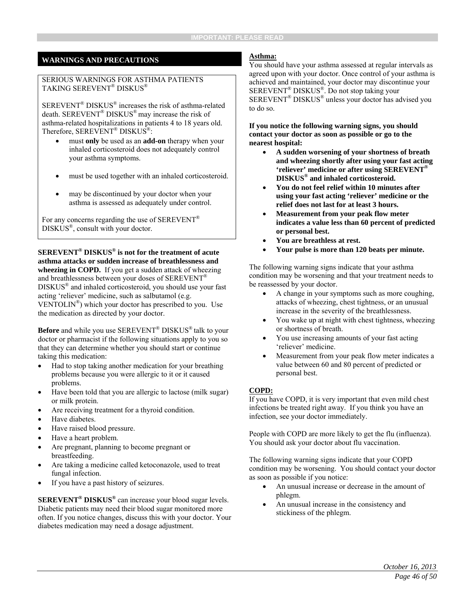#### **WARNINGS AND PRECAUTIONS**

#### SERIOUS WARNINGS FOR ASTHMA PATIENTS TAKING SEREVENT® DISKUS®

SEREVENT® DISKUS® increases the risk of asthma-related death. SEREVENT® DISKUS® may increase the risk of asthma-related hospitalizations in patients 4 to 18 years old. Therefore, SEREVENT<sup>®</sup> DISKUS<sup>®</sup>:

- must **only** be used as an **add-on** therapy when your inhaled corticosteroid does not adequately control your asthma symptoms.
- must be used together with an inhaled corticosteroid.
- may be discontinued by your doctor when your asthma is assessed as adequately under control.

For any concerns regarding the use of SEREVENT<sup>®</sup> DISKUS®, consult with your doctor.

**SEREVENT® DISKUS® is not for the treatment of acute asthma attacks or sudden increase of breathlessness and wheezing in COPD.** If you get a sudden attack of wheezing and breathlessness between your doses of SEREVENT<sup>®</sup> DISKUS® and inhaled corticosteroid, you should use your fast acting 'reliever' medicine, such as salbutamol (e.g. VENTOLIN<sup>®</sup>) which your doctor has prescribed to you. Use the medication as directed by your doctor.

**Before** and while you use SEREVENT<sup>®</sup> DISKUS<sup>®</sup> talk to your doctor or pharmacist if the following situations apply to you so that they can determine whether you should start or continue taking this medication:

- Had to stop taking another medication for your breathing problems because you were allergic to it or it caused problems.
- Have been told that you are allergic to lactose (milk sugar) or milk protein.
- Are receiving treatment for a thyroid condition.
- Have diabetes.
- Have raised blood pressure.
- Have a heart problem.
- Are pregnant, planning to become pregnant or breastfeeding.
- Are taking a medicine called ketoconazole, used to treat fungal infection.
- If you have a past history of seizures.

**SEREVENT® DISKUS®** can increase your blood sugar levels. Diabetic patients may need their blood sugar monitored more often. If you notice changes, discuss this with your doctor. Your diabetes medication may need a dosage adjustment.

#### **Asthma:**

You should have your asthma assessed at regular intervals as agreed upon with your doctor. Once control of your asthma is achieved and maintained, your doctor may discontinue your SEREVENT® DISKUS®. Do not stop taking your SEREVENT® DISKUS® unless your doctor has advised you to do so.

**If you notice the following warning signs, you should contact your doctor as soon as possible or go to the nearest hospital:** 

- **A sudden worsening of your shortness of breath and wheezing shortly after using your fast acting 'reliever' medicine or after using SEREVENT***®* **DISKUS® and inhaled corticosteroid.**
- **You do not feel relief within 10 minutes after using your fast acting 'reliever' medicine or the relief does not last for at least 3 hours.**
- **Measurement from your peak flow meter indicates a value less than 60 percent of predicted or personal best.**
- **You are breathless at rest.**
- **Your pulse is more than 120 beats per minute.**

The following warning signs indicate that your asthma condition may be worsening and that your treatment needs to be reassessed by your doctor.

- A change in your symptoms such as more coughing, attacks of wheezing, chest tightness, or an unusual increase in the severity of the breathlessness.
- You wake up at night with chest tightness, wheezing or shortness of breath.
- You use increasing amounts of your fast acting 'reliever' medicine.
- Measurement from your peak flow meter indicates a value between 60 and 80 percent of predicted or personal best.

#### **COPD:**

If you have COPD, it is very important that even mild chest infections be treated right away. If you think you have an infection, see your doctor immediately.

People with COPD are more likely to get the flu (influenza). You should ask your doctor about flu vaccination.

The following warning signs indicate that your COPD condition may be worsening. You should contact your doctor as soon as possible if you notice:

- An unusual increase or decrease in the amount of phlegm.
- An unusual increase in the consistency and stickiness of the phlegm.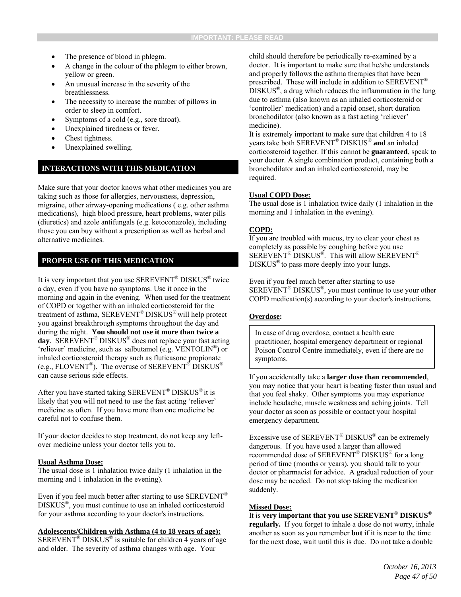- The presence of blood in phlegm.
- A change in the colour of the phlegm to either brown, yellow or green.
- An unusual increase in the severity of the breathlessness.
- The necessity to increase the number of pillows in order to sleep in comfort.
- Symptoms of a cold (e.g., sore throat).
- Unexplained tiredness or fever.
- Chest tightness.
- Unexplained swelling.

#### **INTERACTIONS WITH THIS MEDICATION**

Make sure that your doctor knows what other medicines you are taking such as those for allergies, nervousness, depression, migraine, other airway-opening medications ( e.g. other asthma medications), high blood pressure, heart problems, water pills (diuretics) and azole antifungals (e.g. ketoconazole), including those you can buy without a prescription as well as herbal and alternative medicines.

#### **PROPER USE OF THIS MEDICATION**

It is very important that you use SEREVENT® DISKUS® twice a day, even if you have no symptoms. Use it once in the morning and again in the evening. When used for the treatment of COPD or together with an inhaled corticosteroid for the treatment of asthma, SEREVENT® DISKUS® will help protect you against breakthrough symptoms throughout the day and during the night. **You should not use it more than twice a day**. SEREVENT® DISKUS® does not replace your fast acting 'reliever' medicine, such as salbutamol (e.g. VENTOLIN<sup>®</sup>) or inhaled corticosteroid therapy such as fluticasone propionate (e.g., FLOVENT<sup>®</sup>). The overuse of SEREVENT<sup>®</sup> DISKUS<sup>®</sup> can cause serious side effects.

After you have started taking SEREVENT<sup>®</sup> DISKUS<sup>®</sup> it is likely that you will not need to use the fast acting 'reliever' medicine as often. If you have more than one medicine be careful not to confuse them.

If your doctor decides to stop treatment, do not keep any leftover medicine unless your doctor tells you to.

#### **Usual Asthma Dose:**

The usual dose is 1 inhalation twice daily (1 inhalation in the morning and 1 inhalation in the evening).

Even if you feel much better after starting to use  $SEREVENT<sup>®</sup>$ DISKUS®, you must continue to use an inhaled corticosteroid for your asthma according to your doctor's instructions.

#### **Adolescents/Children with Asthma (4 to 18 years of age):**

 $SEREVENT^®$  DISKUS<sup>®</sup> is suitable for children 4 years of age and older. The severity of asthma changes with age. Your

child should therefore be periodically re-examined by a doctor. It is important to make sure that he/she understands and properly follows the asthma therapies that have been prescribed. These will include in addition to SEREVENT® DISKUS®, a drug which reduces the inflammation in the lung due to asthma (also known as an inhaled corticosteroid or 'controller' medication) and a rapid onset, short duration bronchodilator (also known as a fast acting 'reliever' medicine).

It is extremely important to make sure that children 4 to 18 years take both SEREVENT® DISKUS® **and** an inhaled corticosteroid together. If this cannot be **guaranteed**, speak to your doctor. A single combination product, containing both a bronchodilator and an inhaled corticosteroid, may be required.

#### **Usual COPD Dose:**

The usual dose is 1 inhalation twice daily (1 inhalation in the morning and 1 inhalation in the evening).

#### **COPD:**

If you are troubled with mucus, try to clear your chest as completely as possible by coughing before you use SEREVENT® DISKUS®. This will allow SEREVENT® DISKUS® to pass more deeply into your lungs.

Even if you feel much better after starting to use SEREVENT® DISKUS®, you must continue to use your other COPD medication(s) according to your doctor's instructions.

#### **Overdose:**

In case of drug overdose, contact a health care practitioner, hospital emergency department or regional Poison Control Centre immediately, even if there are no symptoms.

If you accidentally take a **larger dose than recommended**, you may notice that your heart is beating faster than usual and that you feel shaky. Other symptoms you may experience include headache, muscle weakness and aching joints. Tell your doctor as soon as possible or contact your hospital emergency department.

Excessive use of  $SEREVENT^{\circledR}$  DISKUS<sup>®</sup> can be extremely dangerous. If you have used a larger than allowed recommended dose of SEREVENT® DISKUS® for a long period of time (months or years), you should talk to your doctor or pharmacist for advice. A gradual reduction of your dose may be needed. Do not stop taking the medication suddenly.

#### **Missed Dose:**

It is **very important that you use SEREVENT® DISKUS® regularly.** If you forget to inhale a dose do not worry, inhale another as soon as you remember **but** if it is near to the time for the next dose, wait until this is due. Do not take a double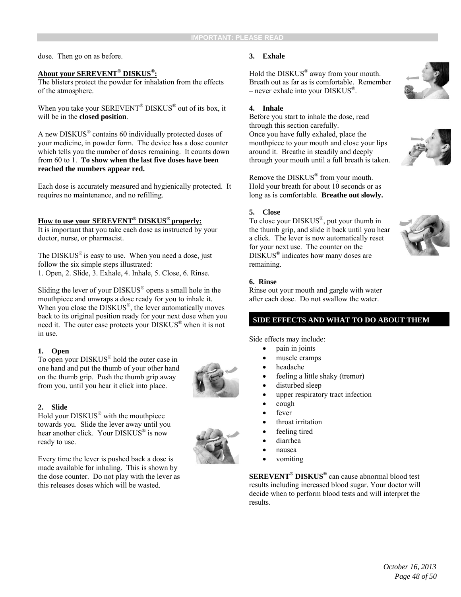dose. Then go on as before.

#### **About your SEREVENT® DISKUS®:**

The blisters protect the powder for inhalation from the effects of the atmosphere.

When you take your SEREVENT<sup>®</sup> DISKUS<sup>®</sup> out of its box, it will be in the **closed position**.

A new DISKUS® contains 60 individually protected doses of your medicine, in powder form. The device has a dose counter which tells you the number of doses remaining. It counts down from 60 to 1. **To show when the last five doses have been reached the numbers appear red.** 

Each dose is accurately measured and hygienically protected. It requires no maintenance, and no refilling.

#### **How to use your SEREVENT® DISKUS® properly:**

It is important that you take each dose as instructed by your doctor, nurse, or pharmacist.

The  $DISKUS^{\circledast}$  is easy to use. When you need a dose, just follow the six simple steps illustrated:

1. Open, 2. Slide, 3. Exhale, 4. Inhale, 5. Close, 6. Rinse.

Sliding the lever of your DISKUS® opens a small hole in the mouthpiece and unwraps a dose ready for you to inhale it. When you close the DISKUS<sup>®</sup>, the lever automatically moves back to its original position ready for your next dose when you need it. The outer case protects your DISKUS® when it is not in use.

#### **1. Open**

To open your DISKUS® hold the outer case in one hand and put the thumb of your other hand on the thumb grip. Push the thumb grip away from you, until you hear it click into place.

#### **2. Slide**

Hold your DISKUS® with the mouthpiece towards you. Slide the lever away until you hear another click. Your DISKUS® is now ready to use.

Every time the lever is pushed back a dose is made available for inhaling. This is shown by the dose counter. Do not play with the lever as this releases doses which will be wasted.

#### **3. Exhale**

Hold the DISKUS® away from your mouth. Breath out as far as is comfortable. Remember – never exhale into your DISKUS®.

#### **4. Inhale**

Before you start to inhale the dose, read through this section carefully. Once you have fully exhaled, place the mouthpiece to your mouth and close your lips around it. Breathe in steadily and deeply through your mouth until a full breath is taken.

Remove the DISKUS® from your mouth. Hold your breath for about 10 seconds or as long as is comfortable. **Breathe out slowly.** 

#### **5. Close**

To close your DISKUS®, put your thumb in the thumb grip, and slide it back until you hear a click. The lever is now automatically reset for your next use. The counter on the DISKUS® indicates how many doses are remaining.



#### **6. Rinse**

Rinse out your mouth and gargle with water after each dose. Do not swallow the water.

#### **SIDE EFFECTS AND WHAT TO DO ABOUT THEM**

Side effects may include:

- pain in joints
- muscle cramps
- headache
- feeling a little shaky (tremor)
- disturbed sleep
- upper respiratory tract infection
- cough
- fever
- throat irritation
- feeling tired
- diarrhea
- nausea
- vomiting

**SEREVENT® DISKUS®** can cause abnormal blood test results including increased blood sugar. Your doctor will decide when to perform blood tests and will interpret the results.





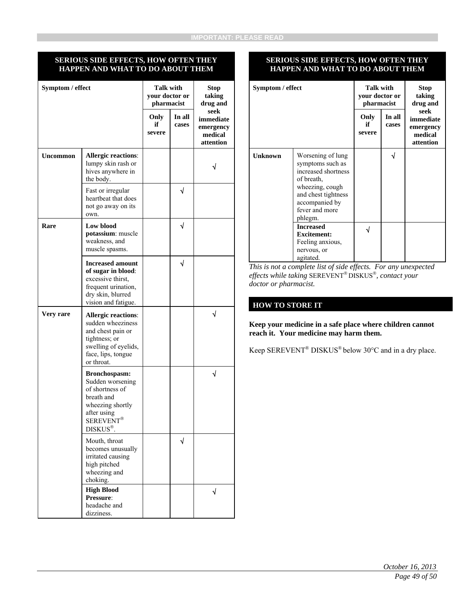#### **SERIOUS SIDE EFFECTS, HOW OFTEN THEY HAPPEN AND WHAT TO DO ABOUT THEM**

| Symptom / effect |                                                                                                                                                   | <b>Talk with</b><br>your doctor or<br>pharmacist |                 | <b>Stop</b><br>taking<br>drug and                      |
|------------------|---------------------------------------------------------------------------------------------------------------------------------------------------|--------------------------------------------------|-----------------|--------------------------------------------------------|
|                  |                                                                                                                                                   | Only<br>if<br>severe                             | In all<br>cases | seek<br>immediate<br>emergency<br>medical<br>attention |
| Uncommon         | <b>Allergic reactions:</b><br>lumpy skin rash or<br>hives anywhere in<br>the body.                                                                |                                                  |                 |                                                        |
|                  | Fast or irregular<br>heartbeat that does<br>not go away on its<br>own.                                                                            |                                                  | √               |                                                        |
| Rare             | Low blood<br>potassium: muscle<br>weakness, and<br>muscle spasms.                                                                                 |                                                  | √               |                                                        |
|                  | <b>Increased amount</b><br>of sugar in blood:<br>excessive thirst.<br>frequent urination,<br>dry skin, blurred<br>vision and fatigue.             |                                                  | √               |                                                        |
| Very rare        | <b>Allergic reactions:</b><br>sudden wheeziness<br>and chest pain or<br>tightness; or<br>swelling of eyelids,<br>face, lips, tongue<br>or throat. |                                                  |                 | √                                                      |
|                  | Bronchospasm:<br>Sudden worsening<br>of shortness of<br>breath and<br>wheezing shortly<br>after using<br>SEREVENT <sup>®</sup><br>DISKUS®.        |                                                  |                 | $\sqrt{ }$                                             |
|                  | Mouth, throat<br>becomes unusually<br>irritated causing<br>high pitched<br>wheezing and<br>choking.                                               |                                                  | √               |                                                        |
|                  | <b>High Blood</b><br>Pressure:<br>headache and<br>dizziness.                                                                                      |                                                  |                 |                                                        |

#### **SERIOUS SIDE EFFECTS, HOW OFTEN THEY HAPPEN AND WHAT TO DO ABOUT THEM**

| Symptom / effect |                                                                                                                                                                     | Talk with<br>your doctor or<br>pharmacist |                 | <b>Stop</b><br>taking<br>drug and                      |
|------------------|---------------------------------------------------------------------------------------------------------------------------------------------------------------------|-------------------------------------------|-----------------|--------------------------------------------------------|
|                  |                                                                                                                                                                     | Only<br>if<br>severe                      | In all<br>cases | seek<br>immediate<br>emergency<br>medical<br>attention |
| <b>Unknown</b>   | Worsening of lung<br>symptoms such as<br>increased shortness<br>of breath,<br>wheezing, cough<br>and chest tightness<br>accompanied by<br>fever and more<br>phlegm. |                                           | √               |                                                        |
|                  | <b>Increased</b><br><b>Excitement:</b><br>Feeling anxious,<br>nervous, or<br>agitated.                                                                              |                                           |                 |                                                        |

*This is not a complete list of side effects. For any unexpected effects while taking SEREVENT® DISKUS®, contact your doctor or pharmacist.* 

#### **HOW TO STORE IT**

**Keep your medicine in a safe place where children cannot reach it. Your medicine may harm them.** 

Keep SEREVENT® DISKUS® below 30°C and in a dry place.